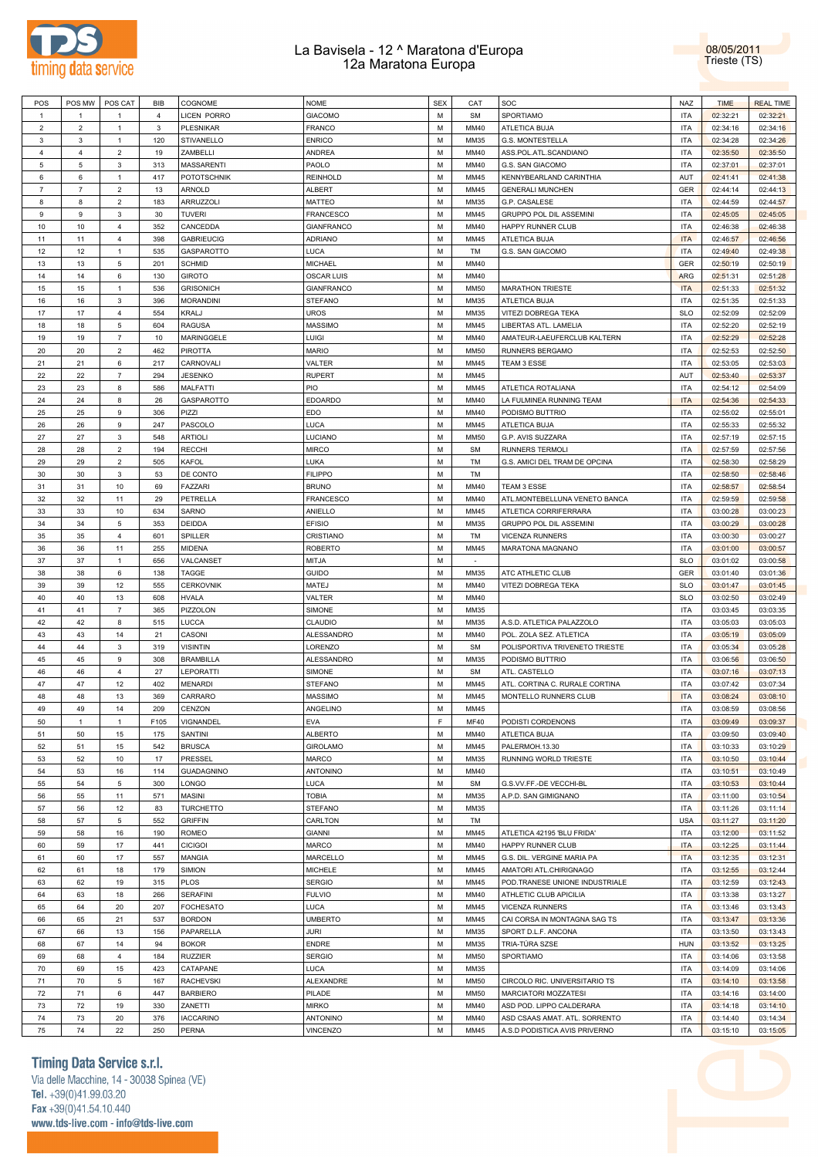



| POS            | POS MW         | POS CAT        | BIB            | COGNOME                   | <b>NOME</b>          | <b>SEX</b> | CAT          | SOC                                                            | NAZ                      | <b>TIME</b>          | <b>REAL TIME</b>                             |
|----------------|----------------|----------------|----------------|---------------------------|----------------------|------------|--------------|----------------------------------------------------------------|--------------------------|----------------------|----------------------------------------------|
| $\overline{1}$ | $\overline{1}$ | $\mathbf{1}$   | $\overline{4}$ | <b>LICEN PORRO</b>        | <b>GIACOMO</b>       | M          | <b>SM</b>    | SPORTIAMO                                                      | <b>ITA</b>               | 02:32:21             | 02:32:21                                     |
| $\overline{2}$ | $\overline{2}$ | $\mathbf{1}$   | $\mathbf{3}$   | <b>PLESNIKAR</b>          | FRANCO               | М          | MM40         | ATLETICA BUJA                                                  | <b>ITA</b>               | 02:34:16             | 02:34:16                                     |
| 3              | 3              | $\mathbf{1}$   | 120            | STIVANELLO                | <b>ENRICO</b>        | М          | MM35         | <b>G.S. MONTESTELLA</b>                                        | <b>ITA</b>               | 02:34:28             | 02:34:26                                     |
| $\overline{4}$ | $\overline{4}$ | $\overline{2}$ | 19             | ZAMBELLI                  | ANDREA               | М          | MM40         | ASS.POL.ATL.SCANDIANO                                          | <b>ITA</b>               | 02:35:50             | 02:35:50                                     |
|                |                |                |                |                           |                      |            |              |                                                                |                          |                      |                                              |
| 5              | 5              | 3              | 313            | <b>MASSARENTI</b>         | PAOLO                | M          | MM40         | G.S. SAN GIACOMO                                               | <b>ITA</b>               | 02:37:01             | 02:37:01                                     |
| 6              | 6              | $\mathbf{1}$   | 417            | <b>POTOTSCHNIK</b>        | <b>REINHOLD</b>      | М          | MM45         | KENNYBEARLAND CARINTHIA                                        | AUT                      | 02:41:41             | 02:41:38                                     |
| $\overline{7}$ | $\overline{7}$ | $\overline{2}$ | 13             | ARNOLD                    | ALBERT               | М          | MM45         | <b>GENERALI MUNCHEN</b>                                        | <b>GER</b>               | 02:44:14             | 02:44:13                                     |
| 8              | 8              | $\overline{2}$ | 183            | ARRUZZOLI                 | MATTEO               | М          | MM35         | G.P. CASALESE                                                  | <b>ITA</b>               | 02:44:59             | 02:44:57                                     |
| 9              | 9              | 3              | 30             | <b>TUVERI</b>             | <b>FRANCESCO</b>     | М          | MM45         | GRUPPO POL DIL ASSEMINI                                        | <b>ITA</b>               | 02:45:05             | 02:45:05                                     |
| 10             | 10             | $\overline{4}$ | 352            | CANCEDDA                  | <b>GIANFRANCO</b>    | М          | MM40         | HAPPY RUNNER CLUB                                              | <b>ITA</b>               | 02:46:38             | 02:46:38                                     |
| 11             | 11             | 4              | 398            | <b>GABRIEUCIG</b>         | <b>ADRIANO</b>       | М          | MM45         | ATLETICA BUJA                                                  | <b>ITA</b>               | 02:46:57             | 02:46:56                                     |
|                | 12             | $\mathbf{1}$   |                | GASPAROTTO                |                      | М          | TM           |                                                                | <b>ITA</b>               |                      |                                              |
| 12             |                |                | 535            |                           | LUCA                 |            |              | G.S. SAN GIACOMO                                               |                          | 02:49:40             | 02:49:38                                     |
| 13             | 13             | 5              | 201            | <b>SCHMID</b>             | MICHAEL              | М          | MM40         |                                                                | <b>GER</b>               | 02:50:19             | 02:50:19                                     |
| 14             | 14             | 6              | 130            | <b>GIROTO</b>             | OSCAR LUIS           | М          | MM40         |                                                                | <b>ARG</b>               | 02:51:31             | 02:51:28                                     |
| 15             | 15             | $\mathbf{1}$   | 536            | <b>GRISONICH</b>          | <b>GIANFRANCO</b>    | М          | MM50         | <b>MARATHON TRIESTE</b>                                        | <b>ITA</b>               | 02:51:33             | 02:51:32                                     |
| 16             | 16             | 3              | 396            | <b>MORANDINI</b>          | STEFANO              | М          | MM35         | ATLETICA BUJA                                                  | <b>ITA</b>               | 02:51:35             | 02:51:33                                     |
| 17             | 17             | 4              | 554            | KRALJ                     | UROS                 | M          | MM35         | VITEZI DOBREGA TEKA                                            | <b>SLO</b>               | 02:52:09             | 02:52:09                                     |
| 18             | 18             | 5              | 604            | <b>RAGUSA</b>             | MASSIMO              | М          | MM45         | LIBERTAS ATL. LAMELIA                                          | <b>ITA</b>               | 02:52:20             | 02:52:19                                     |
| 19             | 19             | $\overline{7}$ | 10             | MARINGGELE                | LUIGI                | М          | MM40         | AMATEUR-LAEUFERCLUB KALTERN                                    | <b>ITA</b>               | 02:52:29             | 02:52:28                                     |
|                |                |                |                |                           |                      |            |              |                                                                |                          |                      |                                              |
| 20             | 20             | $\overline{2}$ | 462            | <b>PIROTTA</b>            | <b>MARIO</b>         | М          | MM50         | RUNNERS BERGAMO                                                | <b>ITA</b>               | 02:52:53             | 02:52:50                                     |
| 21             | 21             | 6              | 217            | CARNOVALI                 | VALTER               | M          | MM45         | TEAM 3 ESSE                                                    | <b>ITA</b>               | 02:53:05             | 02:53:03                                     |
| 22             | 22             | $\overline{7}$ | 294            | <b>JESENKO</b>            | RUPERT               | М          | MM45         |                                                                | AUT                      | 02:53:40             | 02:53:37                                     |
| 23             | 23             | 8              | 586            | MALFATTI                  | PIO                  | М          | MM45         | ATLETICA ROTALIANA                                             | <b>ITA</b>               | 02:54:12             | 02:54:09                                     |
| 24             | 24             | 8              | 26             | GASPAROTTO                | <b>EDOARDO</b>       | М          | MM40         | LA FULMINEA RUNNING TEAM                                       | <b>ITA</b>               | 02:54:36             | 02:54:33                                     |
| 25             | 25             | 9              | 306            | PIZZI                     | EDO                  | M          | MM40         | PODISMO BUTTRIO                                                | <b>ITA</b>               | 02:55:02             | 02:55:01                                     |
| 26             | 26             | 9              | 247            | PASCOLO                   | LUCA                 | М          | MM45         | ATLETICA BUJA                                                  | <b>ITA</b>               | 02:55:33             | 02:55:32                                     |
|                |                |                |                |                           |                      |            |              |                                                                |                          |                      |                                              |
| 27             | 27             | 3              | 548            | <b>ARTIOLI</b>            | LUCIANO              | M          | MM50         | G.P. AVIS SUZZARA                                              | <b>ITA</b>               | 02:57:19             | 02:57:15                                     |
| 28             | 28             | $\overline{2}$ | 194            | <b>RECCHI</b>             | MIRCO                | М          | <b>SM</b>    | RUNNERS TERMOLI                                                | <b>ITA</b>               | 02:57:59             | 02:57:56                                     |
| 29             | 29             | $\overline{2}$ | 505            | KAFOL                     | LUKA                 | М          | TM           | G.S. AMICI DEL TRAM DE OPCINA                                  | <b>ITA</b>               | 02:58:30             | 02:58:29                                     |
| 30             | 30             | 3              | 53             | DE CONTO                  | <b>FILIPPO</b>       | М          | TM           |                                                                | <b>ITA</b>               | 02:58:50             | 02:58:46                                     |
| 31             | 31             | 10             | 69             | <b>FAZZARI</b>            | <b>BRUNO</b>         | M          | MM40         | TEAM 3 ESSE                                                    | <b>ITA</b>               | 02:58:57             | 02:58:54                                     |
| 32             | 32             | 11             | 29             | PETRELLA                  | FRANCESCO            | М          | MM40         | ATL.MONTEBELLUNA VENETO BANCA                                  | <b>ITA</b>               | 02:59:59             | 02:59:58                                     |
| 33             | 33             | 10             | 634            | SARNO                     | ANIELLO              | М          | MM45         | ATLETICA CORRIFERRARA                                          | <b>ITA</b>               | 03:00:28             | 03:00:23                                     |
| 34             | 34             | 5              | 353            | DEIDDA                    | <b>EFISIO</b>        | М          | MM35         | GRUPPO POL DIL ASSEMINI                                        | <b>ITA</b>               | 03:00:29             | 03:00:28                                     |
|                | 35             | 4              |                |                           |                      | M          | TM           |                                                                | <b>ITA</b>               |                      |                                              |
| 35             |                |                | 601            | SPILLER                   | CRISTIANO            |            |              | VICENZA RUNNERS                                                |                          | 03:00:30             | 03:00:27                                     |
| 36             | 36             | 11             | 255            | <b>MIDENA</b>             | ROBERTO              | М          | MM45         | MARATONA MAGNANO                                               | <b>ITA</b>               | 03:01:00             | 03:00:57                                     |
| 37             | 37             | 1              | 656            | VALCANSET                 | <b>MITJA</b>         | M          | $\sim$       |                                                                | <b>SLO</b>               | 03:01:02             | 03:00:58                                     |
| 38             | 38             | 6              | 138            | TAGGE                     | GUIDO                | М          | MM35         | ATC ATHLETIC CLUB                                              | <b>GER</b>               | 03:01:40             | 03:01:36                                     |
| 39             | 39             | 12             | 555            | <b>CERKOVNIK</b>          | MATEJ                | М          | MM40         | VITEZI DOBREGA TEKA                                            | <b>SLO</b>               | 03:01:47             | 03:01:45                                     |
| 40             | 40             | 13             | 608            | <b>HVALA</b>              | VALTER               | М          | MM40         |                                                                | <b>SLO</b>               | 03:02:50             | 03:02:49                                     |
| 41             | 41             | $\overline{7}$ | 365            | PIZZOLON                  | SIMONE               | M          | MM35         |                                                                | <b>ITA</b>               | 03:03:45             | 03:03:35                                     |
| 42             | 42             | 8              | 515            | <b>LUCCA</b>              | CLAUDIO              | М          | MM35         | A.S.D. ATLETICA PALAZZOLO                                      | <b>ITA</b>               | 03:05:03             | 03:05:03                                     |
| 43             | 43             | 14             | 21             |                           |                      | М          |              |                                                                | <b>ITA</b>               |                      |                                              |
|                |                |                |                | CASONI                    | ALESSANDRO           |            | MM40         | POL. ZOLA SEZ. ATLETICA                                        |                          | 03:05:19             | 03:05:09                                     |
| 44             | 44             | 3              | 319            | <b>VISINTIN</b>           | LORENZO              | М          | <b>SM</b>    | POLISPORTIVA TRIVENETO TRIESTE                                 | <b>ITA</b>               | 03:05:34             | 03:05:28                                     |
| 45             | 45             | 9              | 308            | <b>BRAMBILLA</b>          | ALESSANDRO           | M          | MM35         | PODISMO BUTTRIO                                                | <b>ITA</b>               | 03:06:56             | 03:06:50                                     |
| 46             | 46             | 4              | 27             | LEPORATTI                 | SIMONE               | М          | <b>SM</b>    | ATL. CASTELLO                                                  | <b>ITA</b>               | 03:07:16             | 03:07:13                                     |
| 47             | 47             | 12             | 402            | <b>MENARDI</b>            | STEFANO              | М          | MM45         | ATL. CORTINA C. RURALE CORTINA                                 | <b>ITA</b>               | 03:07:42             | 03:07:34                                     |
| 48             | 48             | 13             | 369            | CARRARO                   | <b>MASSIMO</b>       | М          | MM45         | MONTELLO RUNNERS CLUB                                          | <b>ITA</b>               | 03:08:24             | 03:08:10                                     |
| 49             | 49             | 14             | 209            | CENZON                    | ANGELINO             | M          | MM45         |                                                                | <b>ITA</b>               | 03:08:59             | 03:08:56                                     |
| 50             | $\mathbf{1}$   | $\mathbf{1}$   | F105           | VIGNANDEL                 | <b>EVA</b>           | F          | <b>MF40</b>  | PODISTI CORDENONS                                              | <b>ITA</b>               | 03:09:49             | 03:09:37                                     |
|                |                |                |                |                           |                      | M          |              | ATLETICA BUJA                                                  |                          |                      |                                              |
| 51             | 50             | 15             | 175            | SANTINI                   | <b>ALBERTO</b>       |            | MM40         |                                                                | <b>ITA</b>               | 03:09:50             | 03:09:40                                     |
| 52             | 51             | 15             | 542            | <b>BRUSCA</b>             | <b>GIROLAMO</b>      | M          | MM45         | PALERMOH.13.30                                                 | <b>ITA</b>               | 03:10:33             | 03:10:29                                     |
| 53             | 52             | 10             | 17             | PRESSEL                   | <b>MARCO</b>         | М          | MM35         | RUNNING WORLD TRIESTE                                          | <b>ITA</b>               | 03:10:50             | 03:10:44                                     |
| 54             | 53             | 16             | 114            | <b>GUADAGNINO</b>         | ANTONINO             | M          | MM40         |                                                                | <b>ITA</b>               | 03:10:51             | 03:10:49                                     |
| 55             | 54             | 5              | 300            | LONGO                     | LUCA                 | M          | <b>SM</b>    | G.S.VV.FF.-DE VECCHI-BL                                        | <b>ITA</b>               | 03:10:53             | 03:10:44                                     |
| 56             | 55             | 11             | 571            | <b>MASINI</b>             | <b>TOBIA</b>         | M          | MM35         | A.P.D. SAN GIMIGNANO                                           | <b>ITA</b>               | 03:11:00             | 03:10:54                                     |
| 57             | 56             | 12             | 83             | <b>TURCHETTO</b>          | STEFANO              | M          | MM35         |                                                                | <b>ITA</b>               | 03:11:26             | 03:11:14                                     |
| 58             | 57             | 5              | 552            | <b>GRIFFIN</b>            | CARLTON              | M          | TM           |                                                                | <b>USA</b>               | 03:11:27             | 03:11:20                                     |
| 59             | 58             | 16             | 190            | <b>ROMEO</b>              | <b>GIANNI</b>        | M          | MM45         | ATLETICA 42195 'BLU FRIDA'                                     | <b>ITA</b>               |                      | 03:11:52                                     |
|                |                |                |                |                           |                      |            |              |                                                                |                          | 03:12:00             |                                              |
| 60             | 59             | 17             | 441            | <b>CICIGOI</b>            | <b>MARCO</b>         | M          | MM40         | HAPPY RUNNER CLUB                                              | <b>ITA</b>               | 03:12:25             | 03:11:44                                     |
| 61             | 60             | 17             | 557            | MANGIA                    | MARCELLO             | M          | MM45         | G.S. DIL. VERGINE MARIA PA                                     | <b>ITA</b>               | 03:12:35             | 03:12:31                                     |
| 62             | 61             | 18             | 179            | SIMION                    | <b>MICHELE</b>       | M          | MM45         | AMATORI ATL.CHIRIGNAGO                                         | <b>ITA</b>               | 03:12:55             | 03:12:44                                     |
| 63             | 62             | 19             | 315            | <b>PLOS</b>               | <b>SERGIO</b>        | M          | MM45         | POD.TRANESE UNIONE INDUSTRIALE                                 | <b>ITA</b>               | 03:12:59             | 03:12:43                                     |
| 64             | 63             | 18             | 266            | <b>SERAFINI</b>           | <b>FULVIO</b>        | M          | MM40         | ATHLETIC CLUB APICILIA                                         | <b>ITA</b>               | 03:13:38             | 03:13:27                                     |
| 65             | 64             | 20             | 207            | <b>FOCHESATO</b>          | LUCA                 | M          | MM45         | VICENZA RUNNERS                                                | <b>ITA</b>               | 03:13:46             | 03:13:43                                     |
|                |                |                |                |                           |                      | M          | MM45         |                                                                | <b>ITA</b>               |                      |                                              |
| 66             | 65             | 21             | 537            | <b>BORDON</b>             | <b>UMBERTO</b>       |            |              | CAI CORSA IN MONTAGNA SAG TS                                   |                          | 03:13:47             | 03:13:36                                     |
| 67             |                | 13             | 156            | PAPARELLA                 | <b>JURI</b>          | M          | MM35         | SPORT D.L.F. ANCONA                                            | <b>ITA</b>               | 03:13:50             | 03:13:43                                     |
|                | 66             |                | 94             | <b>BOKOR</b>              | <b>ENDRE</b>         | M          | MM35         | TRIA-TÚRA SZSE                                                 | <b>HUN</b>               | 03:13:52             | 03:13:25                                     |
| 68             | 67             | 14             |                |                           | <b>SERGIO</b>        | M          | <b>MM50</b>  | SPORTIAMO                                                      | <b>ITA</b>               |                      |                                              |
| 69             | 68             | 4              | 184            | <b>RUZZIER</b>            |                      |            |              |                                                                |                          | 03:14:06             |                                              |
| 70             | 69             | 15             | 423            | CATAPANE                  | LUCA                 | М          | MM35         |                                                                | <b>ITA</b>               | 03:14:09             |                                              |
|                |                |                |                |                           |                      |            |              |                                                                |                          |                      |                                              |
| 71             | 70             | 5              | 167            | <b>RACHEVSKI</b>          | ALEXANDRE            | M          | MM50         | CIRCOLO RIC. UNIVERSITARIO TS                                  | <b>ITA</b>               | 03:14:10             |                                              |
| 72             | 71             | 6              | 447            | <b>BARBIERO</b>           | PILADE               | M          | MM50         | MARCIATORI MOZZATESI                                           | <b>ITA</b>               | 03:14:16             | 03:13:58<br>03:14:06<br>03:13:58<br>03:14:00 |
| 73             | 72             | 19             | 330            | ZANETTI                   | <b>MIRKO</b>         | M          | MM40         | ASD POD. LIPPO CALDERARA                                       | <b>ITA</b>               | 03:14:18             |                                              |
| 74<br>75       | 73<br>74       | 20<br>22       | 376<br>250     | <b>IACCARINO</b><br>PERNA | ANTONINO<br>VINCENZO | М<br>М     | MM40<br>MM45 | ASD CSAAS AMAT. ATL. SORRENTO<br>A.S.D PODISTICA AVIS PRIVERNO | <b>ITA</b><br><b>ITA</b> | 03:14:40<br>03:15:10 | 03:14:10<br>03:14:34<br>03:15:05             |

## **Timing Data Service s.r.l.**

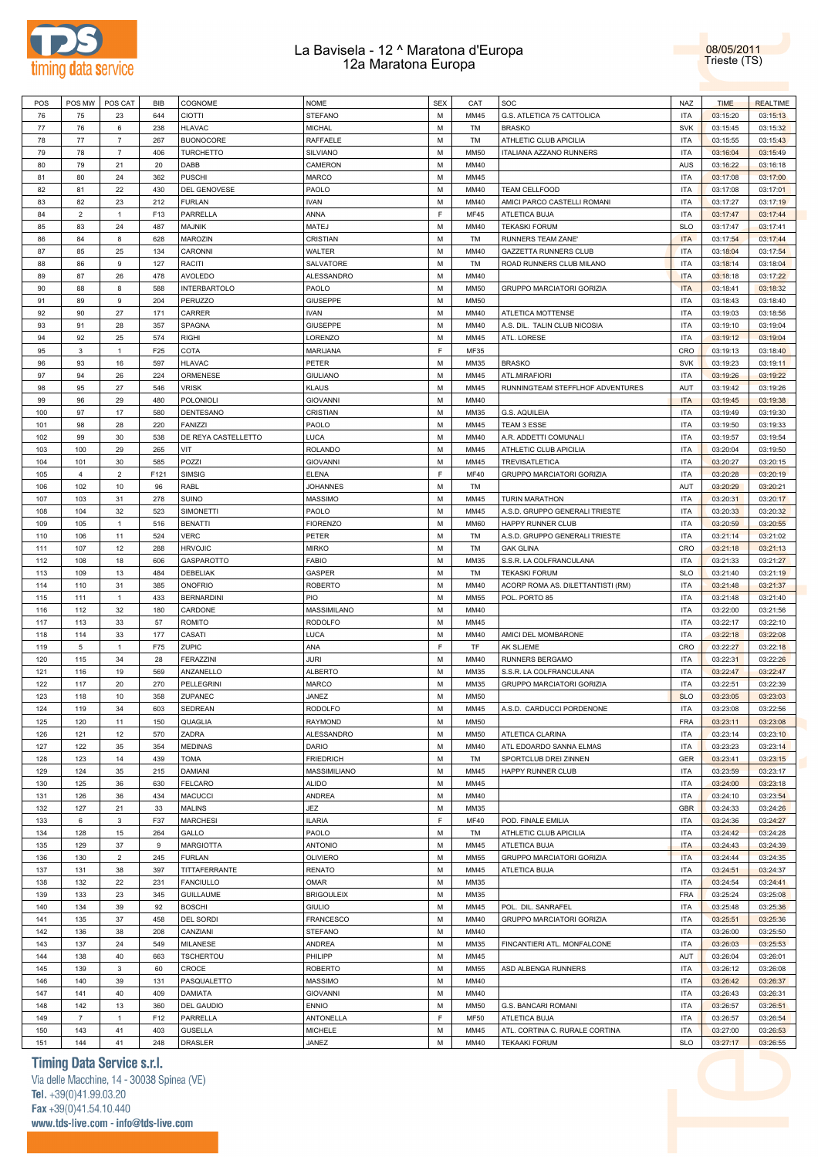



| POS        | POS MW                  | POS CAT        | <b>BIB</b> | COGNOME                   | <b>NOME</b>        | <b>SEX</b> | CAT          | SOC                                                    | <b>NAZ</b>               | <b>TIME</b>          | <b>REALTIME</b>      |
|------------|-------------------------|----------------|------------|---------------------------|--------------------|------------|--------------|--------------------------------------------------------|--------------------------|----------------------|----------------------|
| 76         | 75                      | 23             | 644        | CIOTTI                    | <b>STEFANO</b>     | M          | MM45         | G.S. ATLETICA 75 CATTOLICA                             | <b>ITA</b>               | 03:15:20             | 03:15:13             |
| 77         | 76                      | 6              | 238        | <b>HLAVAC</b>             | MICHAL             | M          | TM           | <b>BRASKO</b>                                          | <b>SVK</b>               | 03:15:45             | 03:15:32             |
| 78         | 77                      | $\overline{7}$ | 267        | <b>BUONOCORE</b>          | RAFFAELE           | M          | TM           | ATHLETIC CLUB APICILIA                                 | <b>ITA</b>               | 03:15:55             | 03:15:43             |
| 79         | 78                      | $\overline{7}$ | 406        | <b>TURCHETTO</b>          | <b>SILVIANO</b>    | M          | <b>MM50</b>  | ITALIANA AZZANO RUNNERS                                | <b>ITA</b>               | 03:16:04             | 03:15:49             |
| 80         | 79                      | 21             | 20         | DABB                      | CAMERON            | M          | MM40         |                                                        | AUS                      |                      |                      |
|            |                         |                |            |                           |                    |            |              |                                                        |                          | 03:16:22             | 03:16:18             |
| 81         | 80                      | 24             | 362        | <b>PUSCHI</b>             | <b>MARCO</b>       | M          | MM45         |                                                        | <b>ITA</b>               | 03:17:08             | 03:17:00             |
| 82         | 81                      | 22             | 430        | DEL GENOVESE              | PAOLO              | M          | MM40         | <b>TEAM CELLFOOD</b>                                   | <b>ITA</b>               | 03:17:08             | 03:17:01             |
| 83         | 82                      | 23             | 212        | <b>FURLAN</b>             | <b>IVAN</b>        | M          | MM40         | AMICI PARCO CASTELLI ROMANI                            | <b>ITA</b>               | 03:17:27             | 03:17:19             |
| 84         | $\overline{\mathbf{c}}$ | $\overline{1}$ | F13        | PARRELLA                  | ANNA               | F          | <b>MF45</b>  | ATLETICA BUJA                                          | <b>ITA</b>               | 03:17:47             | 03:17:44             |
| 85         | 83                      | 24             | 487        | <b>MAJNIK</b>             | MATEJ              | M          | MM40         | <b>TEKASKI FORUM</b>                                   | <b>SLO</b>               | 03:17:47             | 03:17:41             |
| 86         | 84                      | 8              | 628        | <b>MAROZIN</b>            | CRISTIAN           | M          | TM           | RUNNERS TEAM ZANE'                                     | <b>ITA</b>               | 03:17:54             | 03:17:44             |
| 87         | 85                      | 25             | 134        | CARONNI                   | WALTER             | M          | MM40         | GAZZETTA RUNNERS CLUB                                  | <b>ITA</b>               | 03:18:04             | 03:17:54             |
| 88         | 86                      | 9              | 127        | <b>RACITI</b>             | SALVATORE          | M          | TM           | ROAD RUNNERS CLUB MILANO                               | <b>ITA</b>               | 03:18:14             | 03:18:04             |
| 89         | 87                      | 26             | 478        | <b>AVOLEDO</b>            | <b>ALESSANDRO</b>  | M          | MM40         |                                                        | <b>ITA</b>               | 03:18:18             | 03:17:22             |
|            |                         |                |            |                           |                    |            |              |                                                        |                          |                      |                      |
| 90         | 88                      | 8              | 588        | <b>INTERBARTOLO</b>       | PAOLO              | M          | <b>MM50</b>  | GRUPPO MARCIATORI GORIZIA                              | <b>ITA</b>               | 03:18:41             | 03:18:32             |
| 91         | 89                      | 9              | 204        | <b>PERUZZO</b>            | <b>GIUSEPPE</b>    | M          | <b>MM50</b>  |                                                        | <b>ITA</b>               | 03:18:43             | 03:18:40             |
| 92         | 90                      | 27             | 171        | CARRER                    | <b>IVAN</b>        | M          | MM40         | ATLETICA MOTTENSE                                      | <b>ITA</b>               | 03:19:03             | 03:18:56             |
| 93         | 91                      | 28             | 357        | <b>SPAGNA</b>             | <b>GIUSEPPE</b>    | M          | MM40         | A.S. DIL. TALIN CLUB NICOSIA                           | <b>ITA</b>               | 03:19:10             | 03:19:04             |
| 94         | 92                      | 25             | 574        | <b>RIGHI</b>              | LORENZO            | M          | MM45         | ATL. LORESE                                            | <b>ITA</b>               | 03:19:12             | 03:19:04             |
| 95         | 3                       | $\overline{1}$ | F25        | COTA                      | MARIJANA           | F          | <b>MF35</b>  |                                                        | CRO                      | 03:19:13             | 03:18:40             |
| 96         | 93                      | 16             | 597        | <b>HLAVAC</b>             | PETER              | M          | MM35         | <b>BRASKO</b>                                          | <b>SVK</b>               | 03:19:23             | 03:19:11             |
| 97         | 94                      | 26             | 224        | ORMENESE                  | <b>GIULIANO</b>    | M          | MM45         | ATL.MIRAFIORI                                          | <b>ITA</b>               | 03:19:26             | 03:19:22             |
| 98         | 95                      | 27             | 546        | <b>VRISK</b>              | <b>KLAUS</b>       | M          | MM45         | RUNNINGTEAM STEFFLHOF ADVENTURES                       | AUT                      | 03:19:42             | 03:19:26             |
|            |                         |                |            |                           |                    | M          |              |                                                        |                          |                      |                      |
| 99         | 96                      | 29             | 480        | POLONIOLI                 | <b>GIOVANNI</b>    |            | MM40         |                                                        | <b>ITA</b>               | 03:19:45             | 03:19:38             |
| 100        | 97                      | 17             | 580        | <b>DENTESANO</b>          | CRISTIAN           | M          | MM35         | G.S. AQUILEIA                                          | <b>ITA</b>               | 03:19:49             | 03:19:30             |
| 101        | 98                      | 28             | 220        | <b>FANIZZI</b>            | PAOLO              | M          | MM45         | TEAM 3 ESSE                                            | <b>ITA</b>               | 03:19:50             | 03:19:33             |
| 102        | 99                      | 30             | 538        | DE REYA CASTELLETTO       | LUCA               | M          | MM40         | A.R. ADDETTI COMUNALI                                  | <b>ITA</b>               | 03:19:57             | 03:19:54             |
| 103        | 100                     | 29             | 265        | VIT                       | <b>ROLANDO</b>     | M          | MM45         | ATHLETIC CLUB APICILIA                                 | <b>ITA</b>               | 03:20:04             | 03:19:50             |
| 104        | 101                     | 30             | 585        | POZZI                     | <b>GIOVANNI</b>    | M          | MM45         | <b>TREVISATLETICA</b>                                  | <b>ITA</b>               | 03:20:27             | 03:20:15             |
| 105        | 4                       | $\overline{2}$ | F121       | <b>SIMSIG</b>             | <b>ELENA</b>       | F          | <b>MF40</b>  | GRUPPO MARCIATORI GORIZIA                              | <b>ITA</b>               | 03:20:28             | 03:20:19             |
| 106        | 102                     | 10             | 96         | RABL                      | <b>JOHANNES</b>    | M          | TM           |                                                        | AUT                      | 03:20:29             | 03:20:21             |
| 107        | 103                     | 31             | 278        | <b>SUINO</b>              | <b>MASSIMO</b>     | M          | MM45         | <b>TURIN MARATHON</b>                                  | <b>ITA</b>               | 03:20:31             | 03:20:17             |
| 108        | 104                     | 32             | 523        | <b>SIMONETTI</b>          | PAOLO              | M          | MM45         | A.S.D. GRUPPO GENERALI TRIESTE                         | <b>ITA</b>               | 03:20:33             | 03:20:32             |
|            |                         |                |            |                           |                    |            |              |                                                        |                          |                      |                      |
| 109        | 105                     | $\overline{1}$ | 516        | <b>BENATTI</b>            | <b>FIORENZO</b>    | M          | <b>MM60</b>  | HAPPY RUNNER CLUB                                      | <b>ITA</b>               | 03:20:59             | 03:20:55             |
| 110        | 106                     | 11             | 524        | <b>VERC</b>               | PETER              | M          | TM           | A.S.D. GRUPPO GENERALI TRIESTE                         | <b>ITA</b>               | 03:21:14             | 03:21:02             |
| 111        | 107                     | 12             | 288        | <b>HRVOJIC</b>            | <b>MIRKO</b>       | M          | TM           | <b>GAK GLINA</b>                                       | CRO                      | 03:21:18             | 03:21:13             |
| 112        | 108                     | 18             | 606        | GASPAROTTO                | FABIO              | M          | MM35         | S.S.R. LA COLFRANCULANA                                | <b>ITA</b>               | 03:21:33             | 03:21:27             |
| 113        | 109                     | 13             | 484        | DEBELIAK                  | GASPER             | M          | TM           | <b>TEKASKI FORUM</b>                                   | <b>SLO</b>               | 03:21:40             | 03:21:19             |
|            |                         |                |            |                           |                    |            |              |                                                        |                          |                      |                      |
| 114        | 110                     | 31             | 385        | <b>ONOFRIO</b>            | <b>ROBERTO</b>     | M          | MM40         | ACORP ROMA AS. DILETTANTISTI (RM)                      | <b>ITA</b>               | 03:21:48             | 03:21:37             |
| 115        | 111                     | $\overline{1}$ | 433        | <b>BERNARDINI</b>         | PIO                | M          | <b>MM55</b>  | POL. PORTO 85                                          | <b>ITA</b>               | 03:21:48             | 03:21:40             |
| 116        | 112                     |                | 180        | CARDONE                   | <b>MASSIMILANO</b> | M          | MM40         |                                                        | <b>ITA</b>               |                      |                      |
|            |                         | 32             |            |                           |                    |            |              |                                                        |                          | 03:22:00             | 03:21:56             |
| 117        | 113                     | 33             | 57         | <b>ROMITO</b>             | <b>RODOLFO</b>     | M          | MM45         |                                                        | <b>ITA</b>               | 03:22:17             | 03:22:10             |
| 118        | 114                     | 33             | 177        | CASATI                    | LUCA               | M          | MM40         | AMICI DEL MOMBARONE                                    | <b>ITA</b>               | 03:22:18             | 03:22:08             |
| 119        | 5                       | $\overline{1}$ | F75        | ZUPIC                     | ANA                | E          | TF           | AK SLJEME                                              | CRO                      | 03:22:27             | 03:22:18             |
| 120        | 115                     | 34             | 28         | <b>FERAZZINI</b>          | JURI               | M          | MM40         | RUNNERS BERGAMO                                        | <b>ITA</b>               | 03:22:31             | 03:22:26             |
| 121        | 116                     | 19             | 569        | ANZANELLO                 | <b>ALBERTO</b>     | M          | MM35         | S.S.R. LA COLFRANCULANA                                | <b>ITA</b>               | 03:22:47             | 03:22:47             |
| 122        | 117                     | 20             | 270        | <b>PELLEGRINI</b>         | MARCO              | M          | MM35         | GRUPPO MARCIATORI GORIZIA                              | <b>ITA</b>               | 03:22:51             | 03:22:39             |
| 123        | 118                     | 10             | 358        | ZUPANEC                   | JANEZ              | M          | <b>MM50</b>  |                                                        | <b>SLO</b>               | 03:23:05             | 03:23:03             |
| 124        | 119                     | 34             | 603        | <b>SEDREAN</b>            | <b>RODOLFO</b>     | M          | MM45         | A.S.D. CARDUCCI PORDENONE                              | <b>ITA</b>               | 03:23:08             | 03:22:56             |
| 125        | 120                     | 11             | 150        | QUAGLIA                   | RAYMOND            | M          | <b>MM50</b>  |                                                        | <b>FRA</b>               | 03:23:11             | 03:23:08             |
| 126        | 121                     | 12             | 570        | ZADRA                     | ALESSANDRO         | M          | <b>MM50</b>  | ATLETICA CLARINA                                       | <b>ITA</b>               | 03:23:14             | 03:23:10             |
|            |                         |                |            |                           |                    |            |              |                                                        |                          |                      |                      |
| 127        | 122                     | 35             | 354        | <b>MEDINAS</b>            | DARIO              | M          | MM40         | ATL EDOARDO SANNA ELMAS                                | <b>ITA</b>               | 03:23:23             | 03:23:14             |
| 128        | 123                     | 14             | 439        | <b>TOMA</b>               | <b>FRIEDRICH</b>   | M          | TM           | SPORTCLUB DREI ZINNEN                                  | <b>GER</b>               | 03:23:41             | 03:23:15             |
| 129        | 124                     | 35             | 215        | <b>DAMIANI</b>            | MASSIMILIANO       | M          | MM45         | HAPPY RUNNER CLUB                                      | <b>ITA</b>               | 03:23:59             | 03:23:17             |
| 130        | 125                     | 36             | 630        | <b>FELCARO</b>            | <b>ALIDO</b>       | M          | MM45         |                                                        | <b>ITA</b>               | 03:24:00             | 03:23:18             |
| 131        | 126                     | 36             | 434        | <b>MACUCCI</b>            | <b>ANDREA</b>      | M          | MM40         |                                                        | <b>ITA</b>               | 03:24:10             | 03:23:54             |
| 132        | 127                     | 21             | 33         | <b>MALINS</b>             | JEZ                | M          | MM35         |                                                        | <b>GBR</b>               | 03:24:33             | 03:24:26             |
| 133        | 6                       | $\mathbf{3}$   | F37        | <b>MARCHESI</b>           | <b>ILARIA</b>      | F          | <b>MF40</b>  | POD. FINALE EMILIA                                     | <b>ITA</b>               | 03:24:36             | 03:24:27             |
| 134        | 128                     | 15             | 264        | GALLO                     | PAOLO              | M          | TM           | ATHLETIC CLUB APICILIA                                 | <b>ITA</b>               | 03:24:42             | 03:24:28             |
| 135        | 129                     | 37             | 9          | MARGIOTTA                 | <b>ANTONIO</b>     | M          | MM45         | ATLETICA BUJA                                          | <b>ITA</b>               | 03:24:43             | 03:24:39             |
| 136        | 130                     | $\overline{2}$ | 245        | <b>FURLAN</b>             | <b>OLIVIERO</b>    | M          | <b>MM55</b>  | GRUPPO MARCIATORI GORIZIA                              | <b>ITA</b>               | 03:24:44             | 03:24:35             |
|            |                         |                |            |                           |                    |            |              |                                                        |                          |                      |                      |
| 137        | 131                     | 38             | 397        | TITTAFERRANTE             | <b>RENATO</b>      | M          | MM45         | ATLETICA BUJA                                          | <b>ITA</b>               | 03:24:51             | 03:24:37             |
| 138        | 132                     | 22             | 231        | <b>FANCIULLO</b>          | OMAR               | M          | MM35         |                                                        | <b>ITA</b>               | 03:24:54             | 03:24:41             |
| 139        | 133                     | 23             | 345        | <b>GUILLAUME</b>          | <b>BRIGOULEIX</b>  | M          | MM35         |                                                        | <b>FRA</b>               | 03:25:24             | 03:25:08             |
| 140        | 134                     | 39             | 92         | <b>BOSCHI</b>             | <b>GIULIO</b>      | M          | MM45         | POL. DIL. SANRAFEL                                     | <b>ITA</b>               | 03:25:48             | 03:25:36             |
| 141        | 135                     | 37             | 458        | <b>DEL SORDI</b>          | <b>FRANCESCO</b>   | M          | MM40         | GRUPPO MARCIATORI GORIZIA                              | <b>ITA</b>               | 03:25:51             | 03:25:36             |
| 142        | 136                     | 38             | 208        | CANZIANI                  | <b>STEFANO</b>     | M          | MM40         |                                                        | <b>ITA</b>               | 03:26:00             | 03:25:50             |
| 143        | 137                     | 24             | 549        | <b>MILANESE</b>           | <b>ANDREA</b>      | M          | MM35         | FINCANTIERI ATL. MONFALCONE                            | <b>ITA</b>               | 03:26:03             | 03:25:53             |
| 144        | 138                     | 40             | 663        | <b>TSCHERTOU</b>          | PHILIPP            | M          | MM45         |                                                        | AUT                      | 03:26:04             | 03:26:01             |
| 145        | 139                     | $\mathbf{3}$   | 60         | CROCE                     | <b>ROBERTO</b>     | M          | <b>MM55</b>  | ASD ALBENGA RUNNERS                                    | <b>ITA</b>               | 03:26:12             | 03:26:08             |
| 146        | 140                     | 39             | 131        |                           |                    | M          | MM40         |                                                        |                          |                      |                      |
|            |                         |                |            | PASQUALETTO               | <b>MASSIMO</b>     |            |              |                                                        | <b>ITA</b>               | 03:26:42             | 03:26:37             |
| 147        | 141                     | 40             | 409        | <b>DAMIATA</b>            | <b>GIOVANNI</b>    | M          | MM40         |                                                        | <b>ITA</b>               | 03:26:43             | 03:26:31             |
| 148        | 142                     | 13             | 360        | <b>DEL GAUDIO</b>         | <b>ENNIO</b>       | M          | <b>MM50</b>  | G.S. BANCARI ROMANI                                    | <b>ITA</b>               | 03:26:57             | 03:26:51             |
| 149        | $\overline{7}$          | $\overline{1}$ | F12        | PARRELLA                  | ANTONELLA          | F          | <b>MF50</b>  | ATLETICA BUJA                                          | <b>ITA</b>               | 03:26:57             | 03:26:54             |
| 150<br>151 | 143<br>144              | 41<br>41       | 403<br>248 | <b>GUSELLA</b><br>DRASLER | MICHELE<br>JANEZ   | M<br>M     | MM45<br>MM40 | ATL. CORTINA C. RURALE CORTINA<br><b>TEKAAKI FORUM</b> | <b>ITA</b><br><b>SLO</b> | 03:27:00<br>03:27:17 | 03:26:53<br>03:26:55 |

# **Timing Data Service s.r.l.**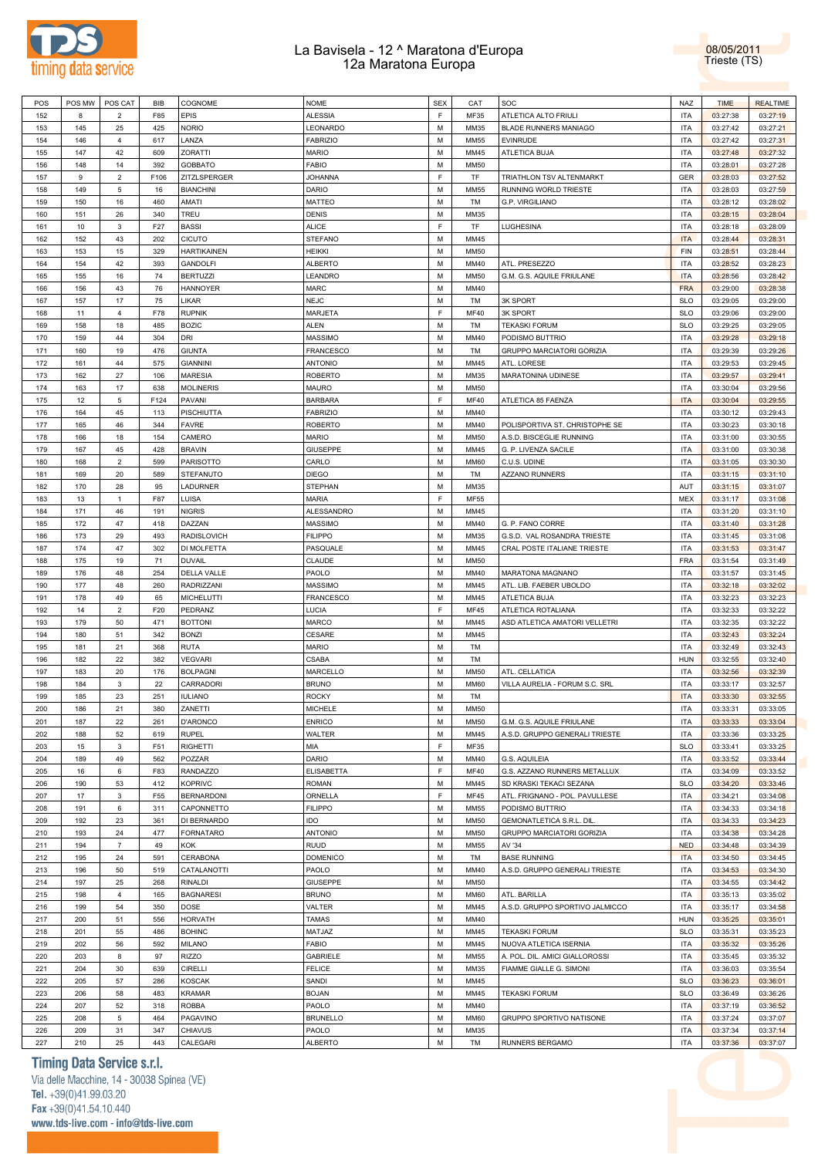



| POS | POS MW | POS CAT        | BIB             | COGNOME            | <b>NOME</b>       | <b>SEX</b> | CAT         | SOC                             | <b>NAZ</b> | <b>TIME</b> | <b>REALTIME</b> |
|-----|--------|----------------|-----------------|--------------------|-------------------|------------|-------------|---------------------------------|------------|-------------|-----------------|
| 152 | 8      | $\overline{2}$ | F85             | EPIS               | ALESSIA           | E          | MF35        | <b>ATLETICA ALTO FRIULI</b>     | <b>ITA</b> | 03:27:38    | 03:27:19        |
| 153 | 145    | 25             | 425             | <b>NORIO</b>       | LEONARDO          | M          | MM35        | <b>BLADE RUNNERS MANIAGO</b>    | <b>ITA</b> | 03:27:42    | 03:27:21        |
|     |        |                |                 |                    |                   |            |             |                                 |            |             |                 |
| 154 | 146    | $\overline{4}$ | 617             | LANZA              | <b>FABRIZIO</b>   | М          | <b>MM55</b> | <b>EVINRUDE</b>                 | <b>ITA</b> | 03:27:42    | 03:27:31        |
| 155 | 147    | 42             | 609             | <b>ZORATTI</b>     | <b>MARIO</b>      | M          | MM45        | ATLETICA BUJA                   | <b>ITA</b> | 03:27:48    | 03:27:32        |
| 156 | 148    | 14             | 392             | <b>GOBBATO</b>     | <b>FABIO</b>      | M          | <b>MM50</b> |                                 | <b>ITA</b> | 03:28:01    | 03:27:28        |
| 157 | 9      | $\overline{2}$ | F106            | ZITZLSPERGER       | <b>JOHANNA</b>    | E          | TF          | TRIATHLON TSV ALTENMARKT        | GER        | 03:28:03    | 03:27:52        |
| 158 | 149    | 5              | 16              | <b>BIANCHINI</b>   | <b>DARIO</b>      | M          | <b>MM55</b> | RUNNING WORLD TRIESTE           | <b>ITA</b> | 03:28:03    | 03:27:59        |
| 159 | 150    | 16             | 460             | AMATI              | <b>MATTEO</b>     | M          | TM          | G.P. VIRGILIANO                 | <b>ITA</b> | 03:28:12    | 03:28:02        |
| 160 | 151    | 26             | 340             | TREU               | <b>DENIS</b>      | M          | MM35        |                                 | <b>ITA</b> | 03:28:15    | 03:28:04        |
|     |        |                |                 |                    |                   |            |             |                                 |            |             |                 |
| 161 | 10     | 3              | F27             | <b>BASSI</b>       | <b>ALICE</b>      | F          | TF          | LUGHESINA                       | <b>ITA</b> | 03:28:18    | 03:28:09        |
| 162 | 152    | 43             | 202             | <b>CICUTO</b>      | <b>STEFANO</b>    | М          | MM45        |                                 | <b>ITA</b> | 03:28:44    | 03:28:31        |
| 163 | 153    | 15             | 329             | <b>HARTIKAINEN</b> | HEIKKI            | M          | <b>MM50</b> |                                 | FIN        | 03:28:51    | 03:28:44        |
| 164 | 154    | 42             | 393             | <b>GANDOLFI</b>    | <b>ALBERTO</b>    | M          | MM40        | ATL. PRESEZZO                   | <b>ITA</b> | 03:28:52    | 03:28:23        |
| 165 | 155    | 16             | 74              | <b>BERTUZZI</b>    | LEANDRO           | M          | <b>MM50</b> | G.M. G.S. AQUILE FRIULANE       | <b>ITA</b> | 03:28:56    | 03:28:42        |
| 166 | 156    | 43             | 76              | <b>HANNOYER</b>    | MARC              | М          | MM40        |                                 | <b>FRA</b> | 03:29:00    | 03:28:38        |
| 167 | 157    | 17             | 75              | LIKAR              | <b>NEJC</b>       | М          | TM          | <b>3K SPORT</b>                 | <b>SLO</b> | 03:29:05    | 03:29:00        |
| 168 | 11     | 4              | F78             | <b>RUPNIK</b>      | MARJETA           | E          | <b>MF40</b> | <b>3K SPORT</b>                 | <b>SLO</b> | 03:29:06    | 03:29:00        |
|     |        |                |                 |                    |                   |            |             |                                 |            |             |                 |
| 169 | 158    | 18             | 485             | <b>BOZIC</b>       | ALEN              | M          | TM          | <b>TEKASKI FORUM</b>            | <b>SLO</b> | 03:29:25    | 03:29:05        |
| 170 | 159    | 44             | 304             | DRI                | <b>MASSIMO</b>    | M          | MM40        | PODISMO BUTTRIO                 | <b>ITA</b> | 03:29:28    | 03:29:18        |
| 171 | 160    | 19             | 476             | <b>GIUNTA</b>      | <b>FRANCESCO</b>  | M          | TM          | GRUPPO MARCIATORI GORIZIA       | <b>ITA</b> | 03:29:39    | 03:29:26        |
| 172 | 161    | 44             | 575             | <b>GIANNINI</b>    | <b>ANTONIO</b>    | M          | MM45        | ATL. LORESE                     | <b>ITA</b> | 03:29:53    | 03:29:45        |
| 173 | 162    | 27             | 106             | <b>MARESIA</b>     | <b>ROBERTO</b>    | M          | MM35        | MARATONINA UDINESE              | <b>ITA</b> | 03:29:57    | 03:29:41        |
| 174 | 163    | 17             | 638             | <b>MOLINERIS</b>   | <b>MAURO</b>      | М          | <b>MM50</b> |                                 | <b>ITA</b> | 03:30:04    | 03:29:56        |
| 175 | 12     | 5              | F124            | PAVANI             | <b>BARBARA</b>    | E          | MF40        | ATLETICA 85 FAENZA              | <b>ITA</b> | 03:30:04    | 03:29:55        |
|     |        |                |                 |                    |                   |            |             |                                 |            |             |                 |
| 176 | 164    | 45             | 113             | PISCHIUTTA         | <b>FABRIZIO</b>   | M          | MM40        |                                 | <b>ITA</b> | 03:30:12    | 03:29:43        |
| 177 | 165    | 46             | 344             | <b>FAVRE</b>       | <b>ROBERTO</b>    | M          | MM40        | POLISPORTIVA ST. CHRISTOPHE SE  | <b>ITA</b> | 03:30:23    | 03:30:18        |
| 178 | 166    | 18             | 154             | CAMERO             | MARIO             | M          | <b>MM50</b> | A.S.D. BISCEGLIE RUNNING        | <b>ITA</b> | 03:31:00    | 03:30:55        |
| 179 | 167    | 45             | 428             | <b>BRAVIN</b>      | <b>GIUSEPPE</b>   | M          | MM45        | G. P. LIVENZA SACILE            | <b>ITA</b> | 03:31:00    | 03:30:38        |
| 180 | 168    | $\overline{2}$ | 599             | PARISOTTO          | CARLO             | M          | <b>MM60</b> | C.U.S. UDINE                    | <b>ITA</b> | 03:31:05    | 03:30:30        |
| 181 | 169    | 20             | 589             | <b>STEFANUTO</b>   | <b>DIEGO</b>      | M          | TM          | <b>AZZANO RUNNERS</b>           | <b>ITA</b> | 03:31:15    | 03:31:10        |
| 182 | 170    | 28             | 95              | LADURNER           | <b>STEPHAN</b>    | M          | MM35        |                                 | AUT        | 03:31:15    | 03:31:07        |
|     |        |                |                 |                    |                   |            |             |                                 |            |             |                 |
| 183 | 13     | $\mathbf{1}$   | F87             | LUISA              | <b>MARIA</b>      | E          | MF55        |                                 | <b>MEX</b> | 03:31:17    | 03:31:08        |
| 184 | 171    | 46             | 191             | <b>NIGRIS</b>      | ALESSANDRO        | M          | MM45        |                                 | <b>ITA</b> | 03:31:20    | 03:31:10        |
| 185 | 172    | 47             | 418             | DAZZAN             | <b>MASSIMO</b>    | M          | MM40        | G. P. FANO CORRE                | <b>ITA</b> | 03:31:40    | 03:31:28        |
| 186 | 173    | 29             | 493             | <b>RADISLOVICH</b> | <b>FILIPPO</b>    | M          | MM35        | G.S.D. VAL ROSANDRA TRIESTE     | <b>ITA</b> | 03:31:45    | 03:31:08        |
| 187 | 174    | 47             | 302             | DI MOLFETTA        | PASQUALE          | M          | MM45        | CRAL POSTE ITALIANE TRIESTE     | <b>ITA</b> | 03:31:53    | 03:31:47        |
| 188 | 175    | 19             | 71              | <b>DUVAIL</b>      | CLAUDE            | M          | <b>MM50</b> |                                 | <b>FRA</b> | 03:31:54    | 03:31:49        |
| 189 | 176    | 48             | 254             | DELLA VALLE        | PAOLO             | M          | MM40        | MARATONA MAGNANO                | <b>ITA</b> | 03:31:57    | 03:31:45        |
|     |        |                |                 |                    |                   | M          |             |                                 |            |             |                 |
| 190 | 177    | 48             | 260             | <b>RADRIZZANI</b>  | <b>MASSIMO</b>    |            | MM45        | ATL. LIB. FAEBER UBOLDO         | <b>ITA</b> | 03:32:18    | 03:32:02        |
| 191 | 178    | 49             | 65              | MICHELUTTI         | <b>FRANCESCO</b>  | M          | MM45        | ATLETICA BUJA                   | <b>ITA</b> | 03:32:23    | 03:32:23        |
| 192 | 14     | $\overline{2}$ | F20             | PEDRANZ            | LUCIA             | E          | <b>MF45</b> | ATLETICA ROTALIANA              | <b>ITA</b> | 03:32:33    | 03:32:22        |
| 193 | 179    | 50             | 471             | <b>BOTTONI</b>     | MARCO             | M          | MM45        | ASD ATLETICA AMATORI VELLETRI   | <b>ITA</b> | 03:32:35    | 03:32:22        |
| 194 | 180    | 51             | 342             | <b>BONZI</b>       | CESARE            | M          | MM45        |                                 | <b>ITA</b> | 03:32:43    | 03:32:24        |
| 195 | 181    | 21             | 368             | <b>RUTA</b>        | <b>MARIO</b>      | M          | TM          |                                 | <b>ITA</b> | 03:32:49    | 03:32:43        |
| 196 | 182    | 22             | 382             | <b>VEGVARI</b>     | CSABA             | M          | TM          |                                 | <b>HUN</b> | 03:32:55    | 03:32:40        |
| 197 | 183    | 20             | 176             | <b>BOLPAGNI</b>    | MARCELLO          | M          | <b>MM50</b> | ATL. CELLATICA                  | <b>ITA</b> | 03:32:56    | 03:32:39        |
|     |        |                |                 |                    |                   |            |             |                                 |            |             |                 |
| 198 | 184    | 3              | 22              | CARRADORI          | <b>BRUNO</b>      | M          | <b>MM60</b> | VILLA AURELIA - FORUM S.C. SRL  | <b>ITA</b> | 03:33:17    | 03:32:57        |
| 199 | 185    | 23             | 251             | <b>IULIANO</b>     | <b>ROCKY</b>      | M          | TM          |                                 | <b>ITA</b> | 03:33:30    | 03:32:55        |
| 200 | 186    | 21             | 380             | ZANETTI            | <b>MICHELE</b>    | M          | <b>MM50</b> |                                 | <b>ITA</b> | 03:33:31    | 03:33:05        |
| 201 | 187    | 22             | 261             | D'ARONCO           | <b>ENRICO</b>     | М          | <b>MM50</b> | G.M. G.S. AQUILE FRIULANE       | <b>ITA</b> | 03:33:33    | 03:33:04        |
| 202 | 188    | 52             | 619             | <b>RUPEL</b>       | WALTER            | M          | MM45        | A.S.D. GRUPPO GENERALI TRIESTE  | <b>ITA</b> | 03:33:36    | 03:33:25        |
| 203 | 15     | $\mathbf 3$    | F51             | RIGHETTI           | MIA               | F          | MF35        |                                 | <b>SLO</b> | 03:33:41    | 03:33:25        |
| 204 | 189    | 49             | 562             | POZZAR             | DARIO             | M          | MM40        | G.S. AQUILEIA                   | <b>ITA</b> | 03:33:52    | 03:33:44        |
| 205 | 16     | 6              | F83             | <b>RANDAZZO</b>    | <b>ELISABETTA</b> | F          | <b>MF40</b> | G.S. AZZANO RUNNERS METALLUX    | <b>ITA</b> | 03:34:09    | 03:33:52        |
|     |        |                |                 |                    |                   |            |             |                                 |            |             |                 |
| 206 | 190    | 53             | 412             | <b>KOPRIVC</b>     | <b>ROMAN</b>      | M          | MM45        | SD KRASKI TEKACI SEZANA         | <b>SLO</b> | 03:34:20    | 03:33:46        |
| 207 | 17     | 3              | F <sub>55</sub> | <b>BERNARDONI</b>  | ORNELLA           | E          | <b>MF45</b> | ATL. FRIGNANO - POL. PAVULLESE  | <b>ITA</b> | 03:34:21    | 03:34:08        |
| 208 | 191    | 6              | 311             | CAPONNETTO         | <b>FILIPPO</b>    | M          | <b>MM55</b> | PODISMO BUTTRIO                 | <b>ITA</b> | 03:34:33    | 03:34:18        |
| 209 | 192    | 23             | 361             | DI BERNARDO        | ido               | M          | <b>MM50</b> | GEMONATLETICA S.R.L. DIL        | <b>ITA</b> | 03:34:33    | 03:34:23        |
| 210 | 193    | 24             | 477             | <b>FORNATARO</b>   | <b>ANTONIO</b>    | M          | <b>MM50</b> | GRUPPO MARCIATORI GORIZIA       | <b>ITA</b> | 03:34:38    | 03:34:28        |
| 211 | 194    | $\overline{7}$ | 49              | KOK                | <b>RUUD</b>       | M          | <b>MM55</b> | AV '34                          | <b>NED</b> | 03:34:48    | 03:34:39        |
| 212 | 195    | 24             | 591             | CERABONA           | <b>DOMENICO</b>   | M          | TM          | <b>BASE RUNNING</b>             | <b>ITA</b> | 03:34:50    | 03:34:45        |
|     |        |                |                 |                    |                   |            |             |                                 |            |             |                 |
| 213 | 196    | 50             | 519             | CATALANOTTI        | PAOLO             | M          | MM40        | A.S.D. GRUPPO GENERALI TRIESTE  | <b>ITA</b> | 03:34:53    | 03:34:30        |
| 214 | 197    | 25             | 268             | <b>RINALDI</b>     | <b>GIUSEPPE</b>   | M          | <b>MM50</b> |                                 | <b>ITA</b> | 03:34:55    | 03:34:42        |
| 215 | 198    | $\overline{4}$ | 165             | <b>BAGNARESI</b>   | <b>BRUNO</b>      | M          | <b>MM60</b> | ATL. BARILLA                    | <b>ITA</b> | 03:35:13    | 03:35:02        |
| 216 | 199    | 54             | 350             | DOSE               | VALTER            | M          | MM45        | A.S.D. GRUPPO SPORTIVO JALMICCO | <b>ITA</b> | 03:35:17    | 03:34:58        |
| 217 | 200    | 51             | 556             | <b>HORVATH</b>     | <b>TAMAS</b>      | M          | MM40        |                                 | <b>HUN</b> | 03:35:25    | 03:35:01        |
| 218 | 201    | 55             | 486             | <b>BOHINC</b>      | MATJAZ            | M          | MM45        | <b>TEKASKI FORUM</b>            | <b>SLO</b> | 03:35:31    | 03:35:23        |
| 219 | 202    | 56             | 592             | <b>MILANO</b>      | <b>FABIO</b>      | M          | MM45        | NUOVA ATLETICA ISERNIA          | <b>ITA</b> | 03:35:32    | 03:35:26        |
|     |        |                |                 |                    |                   | M          |             |                                 |            |             |                 |
| 220 | 203    | 8              | 97              | <b>RIZZO</b>       | <b>GABRIELE</b>   |            | <b>MM55</b> | A. POL. DIL. AMICI GIALLOROSSI  | <b>ITA</b> | 03:35:45    | 03:35:32        |
| 221 | 204    | 30             | 639             | <b>CIRELLI</b>     | <b>FELICE</b>     | M          | MM35        | FIAMME GIALLE G. SIMONI         | <b>ITA</b> | 03:36:03    | 03:35:54        |
| 222 | 205    | 57             | 286             | KOSCAK             | SANDI             | M          | MM45        |                                 | <b>SLO</b> | 03:36:23    | 03:36:01        |
| 223 | 206    | 58             | 483             | <b>KRAMAR</b>      | <b>BOJAN</b>      | M          | MM45        | <b>TEKASKI FORUM</b>            | <b>SLO</b> | 03:36:49    | 03:36:26        |
| 224 | 207    | 52             | 318             | ROBBA              | PAOLO             | M          | MM40        |                                 | <b>ITA</b> | 03:37:19    | 03:36:52        |
| 225 | 208    | 5              | 464             | PAGAVINO           | <b>BRUNELLO</b>   | M          | <b>MM60</b> | GRUPPO SPORTIVO NATISONE        | <b>ITA</b> | 03:37:24    | 03:37:07        |
| 226 | 209    | 31             | 347             | <b>CHIAVUS</b>     | PAOLO             | M          | MM35        |                                 | <b>ITA</b> | 03:37:34    | 03:37:14        |
| 227 | 210    | 25             | 443             | CALEGARI           | ALBERTO           | M          | TM          | RUNNERS BERGAMO                 | <b>ITA</b> | 03:37:36    | 03:37:07        |
|     |        |                |                 |                    |                   |            |             |                                 |            |             |                 |

## **Timing Data Service s.r.l.**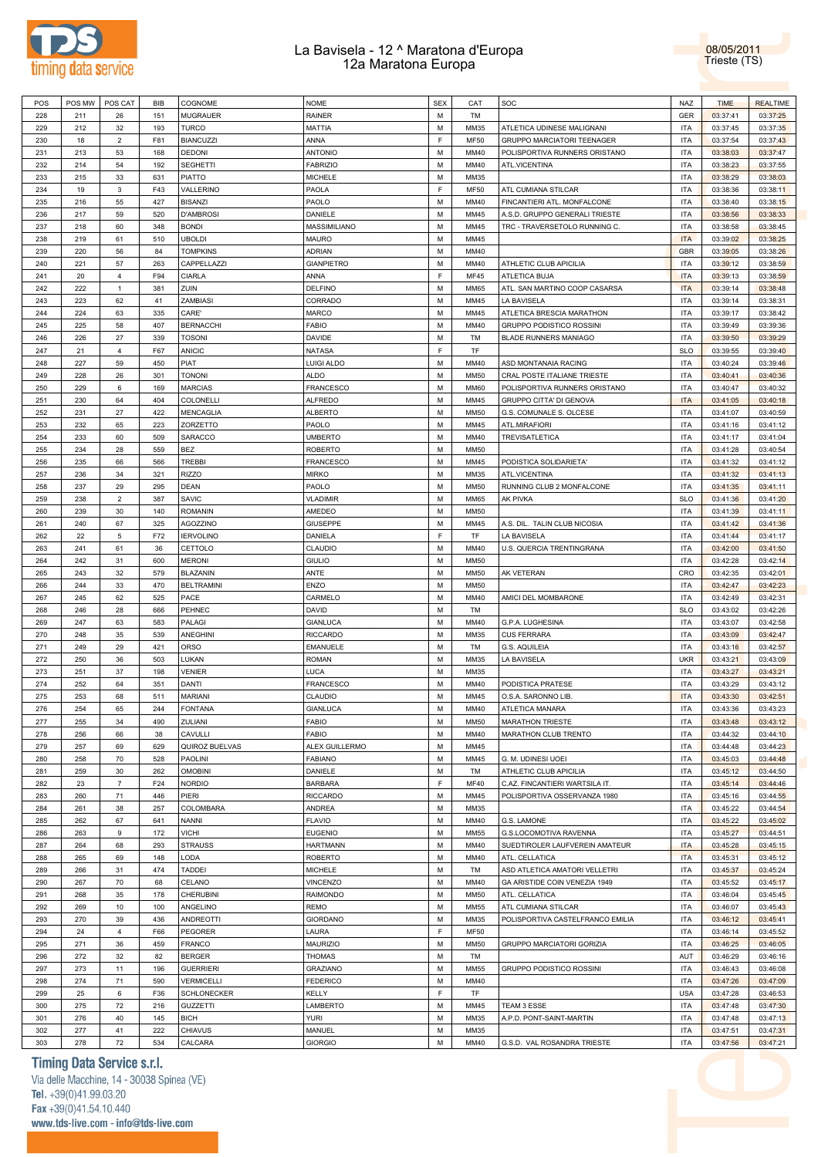



| POS        | POS MW     | POS CAT              | <b>BIB</b> | COGNOME                           | <b>NOME</b>                        | <b>SEX</b> | CAT                        | SOC                                 | <b>NAZ</b>               | <b>TIME</b>          | <b>REALTIME</b>      |
|------------|------------|----------------------|------------|-----------------------------------|------------------------------------|------------|----------------------------|-------------------------------------|--------------------------|----------------------|----------------------|
| 228        | 211        | 26                   | 151        | <b>MUGRAUER</b>                   | <b>RAINER</b>                      | M          | TM                         |                                     | <b>GER</b>               | 03:37:41             | 03:37:25             |
| 229        | 212        | 32                   | 193        | <b>TURCO</b>                      | <b>MATTIA</b>                      | M          | MM35                       | ATLETICA UDINESE MALIGNANI          | <b>ITA</b>               | 03:37:45             | 03:37:35             |
| 230        | 18         | $\overline{2}$       | F81        | <b>BIANCUZZI</b>                  | ANNA                               | F          | <b>MF50</b>                | <b>GRUPPO MARCIATORI TEENAGER</b>   | <b>ITA</b>               | 03:37:54             | 03:37:43             |
| 231        | 213        | 53                   | 168        | <b>DEDONI</b>                     | <b>ANTONIO</b>                     | M          | MM40                       | POLISPORTIVA RUNNERS ORISTANO       | <b>ITA</b>               | 03:38:03             | 03:37:47             |
| 232        | 214        | 54                   | 192        | <b>SEGHETTI</b>                   | <b>FABRIZIO</b>                    | M          | MM40                       | ATL.VICENTINA                       | <b>ITA</b>               | 03:38:23             | 03:37:55             |
| 233        | 215        | 33                   | 631        | <b>PIATTO</b>                     | <b>MICHELE</b>                     | M          | MM35                       |                                     | <b>ITA</b>               | 03:38:29             | 03:38:03             |
| 234        | 19         | 3                    | F43        | VALLERINO                         | PAOLA                              | F          | <b>MF50</b>                | ATL CUMIANA STILCAR                 | <b>ITA</b>               | 03:38:36             | 03:38:11             |
| 235        | 216        | 55                   | 427        | <b>BISANZI</b>                    | PAOLO                              | M          | MM40                       | FINCANTIERI ATL. MONFALCONE         | <b>ITA</b>               | 03:38:40             | 03:38:15             |
| 236        | 217        | 59                   | 520        | <b>D'AMBROSI</b>                  | DANIELE                            | M          | MM45                       | A.S.D. GRUPPO GENERALI TRIESTE      | <b>ITA</b>               | 03:38:56             | 03:38:33             |
| 237        | 218        | 60                   | 348        | <b>BONDI</b>                      | MASSIMILIANO                       | M          | MM45                       | TRC - TRAVERSETOLO RUNNING C.       | <b>ITA</b>               | 03:38:58             | 03:38:45             |
| 238        | 219        | 61                   | 510        |                                   | <b>MAURO</b>                       | М          | MM45                       |                                     | <b>ITA</b>               |                      |                      |
|            |            |                      |            | <b>UBOLDI</b>                     |                                    | M          | MM40                       |                                     | <b>GBR</b>               | 03:39:02             | 03:38:25             |
| 239        | 220        | 56                   | 84         | <b>TOMPKINS</b>                   | <b>ADRIAN</b><br><b>GIANPIETRO</b> | M          | MM40                       |                                     |                          | 03:39:05             | 03:38:26             |
| 240        | 221        | 57                   | 263        | CAPPELLAZZI                       |                                    | F          |                            | ATHLETIC CLUB APICILIA              | <b>ITA</b>               | 03:39:12             | 03:38:59             |
| 241        | 20         | $\overline{a}$       | F94        | <b>CIARLA</b>                     | ANNA                               |            | <b>MF45</b>                | ATLETICA BUJA                       | <b>ITA</b>               | 03:39:13             | 03:38:59             |
| 242        | 222        | $\mathbf{1}$         | 381        | ZUIN                              | <b>DELFINO</b>                     | M          | MM65                       | ATL. SAN MARTINO COOP CASARSA       | <b>ITA</b>               | 03:39:14             | 03:38:48             |
| 243        | 223        | 62                   | 41         | ZAMBIASI                          | CORRADO                            | M          | MM45                       | LA BAVISELA                         | <b>ITA</b>               | 03:39:14             | 03:38:31             |
| 244        | 224        | 63                   | 335        | CARE'                             | <b>MARCO</b>                       | M          | MM45                       | ATLETICA BRESCIA MARATHON           | <b>ITA</b>               | 03:39:17             | 03:38:42             |
| 245        | 225        | 58                   | 407        | <b>BERNACCHI</b>                  | <b>FABIO</b>                       | M          | MM40                       | GRUPPO PODISTICO ROSSINI            | <b>ITA</b>               | 03:39:49             | 03:39:36             |
| 246        | 226        | 27                   | 339        | <b>TOSONI</b>                     | <b>DAVIDE</b>                      | M          | TM                         | <b>BLADE RUNNERS MANIAGO</b>        | ITA                      | 03:39:50             | 03:39:29             |
| 247        | 21         | $\overline{4}$       | F67        | <b>ANICIC</b>                     | <b>NATASA</b>                      | F.         | TF                         |                                     | <b>SLO</b>               | 03:39:55             | 03:39:40             |
| 248        | 227        | 59                   | 450        | <b>PIAT</b>                       | <b>LUIGI ALDO</b>                  | M          | MM40                       | ASD MONTANAIA RACING                | <b>ITA</b>               | 03:40:24             | 03:39:46             |
| 249        | 228        | 26                   | 301        | <b>TONONI</b>                     | <b>ALDO</b>                        | M          | MM50                       | CRAL POSTE ITALIANE TRIESTE         | <b>ITA</b>               | 03:40:41             | 03:40:36             |
| 250        | 229        | 6                    | 169        | <b>MARCIAS</b>                    | <b>FRANCESCO</b>                   | M          | MM60                       | POLISPORTIVA RUNNERS ORISTANO       | <b>ITA</b>               | 03:40:47             | 03:40:32             |
| 251        | 230        | 64                   | 404        | COLONELLI                         | <b>ALFREDO</b>                     | M          | MM45                       | GRUPPO CITTA' DI GENOVA             | <b>ITA</b>               | 03:41:05             | 03:40:18             |
| 252        | 231        | 27                   | 422        | <b>MENCAGLIA</b>                  | <b>ALBERTO</b>                     | M          | <b>MM50</b>                | G.S. COMUNALE S. OLCESE             | <b>ITA</b>               | 03:41:07             | 03:40:59             |
| 253        | 232        | 65                   | 223        | ZORZETTO                          | PAOLO                              | M          | MM45                       | ATL.MIRAFIORI                       | <b>ITA</b>               | 03:41:16             | 03:41:12             |
| 254        | 233        | 60                   | 509        | SARACCO                           | <b>UMBERTO</b>                     | M          | MM40                       | TREVISATLETICA                      | <b>ITA</b>               | 03:41:17             | 03:41:04             |
| 255        | 234        | 28                   | 559        | <b>BEZ</b>                        | <b>ROBERTO</b>                     | M          | <b>MM50</b>                |                                     | <b>ITA</b>               | 03:41:28             | 03:40:54             |
| 256        | 235        | 66                   | 566        | <b>TREBBI</b>                     | <b>FRANCESCO</b>                   | M          | MM45                       | PODISTICA SOLIDARIETA'              | <b>ITA</b>               | 03:41:32             | 03:41:12             |
| 257        | 236        | 34                   | 321        | <b>RIZZO</b>                      | <b>MIRKO</b>                       | M          | MM35                       | ATL.VICENTINA                       | <b>ITA</b>               | 03:41:32             | 03:41:13             |
| 258        | 237        | 29                   | 295        | <b>DEAN</b>                       | PAOLO                              | M          | MM50                       | RUNNING CLUB 2 MONFALCONE           | <b>ITA</b>               | 03:41:35             | 03:41:11             |
| 259        | 238        | $\overline{2}$       | 387        | SAVIC                             | <b>VLADIMIR</b>                    | M          | MM65                       | <b>AK PIVKA</b>                     | <b>SLO</b>               | 03:41:36             | 03:41:20             |
| 260        | 239        | 30                   | 140        | <b>ROMANIN</b>                    | AMEDEO                             | M          | <b>MM50</b>                |                                     | <b>ITA</b>               | 03:41:39             | 03:41:11             |
| 261        | 240        | 67                   | 325        | <b>AGOZZINO</b>                   | <b>GIUSEPPE</b>                    | M          | MM45                       | A.S. DIL. TALIN CLUB NICOSIA        | <b>ITA</b>               | 03:41:42             | 03:41:36             |
| 262        | 22         | 5                    | F72        | <b>IERVOLINO</b>                  | DANIELA                            | F          | TF                         | LA BAVISELA                         | <b>ITA</b>               | 03:41:44             | 03:41:17             |
| 263        | 241        | 61                   | 36         | CETTOLO                           | CLAUDIO                            | M          | MM40                       | U.S. QUERCIA TRENTINGRANA           | <b>ITA</b>               | 03:42:00             | 03:41:50             |
| 264        | 242        | 31                   | 600        | <b>MERONI</b>                     | <b>GIULIO</b>                      | М          | MM50                       |                                     | <b>ITA</b>               | 03:42:28             | 03:42:14             |
| 265        | 243        | 32                   | 579        | <b>BLAZANIN</b>                   | ANTE                               | M          | MM50                       | AK VETERAN                          | CRO                      | 03:42:35             | 03:42:01             |
| 266        | 244        | 33                   | 470        | <b>BELTRAMINI</b>                 | <b>ENZO</b>                        | М          | <b>MM50</b>                |                                     | <b>ITA</b>               | 03:42:47             | 03:42:23             |
| 267        | 245        | 62                   | 525        | PACE                              | CARMELO                            | M          | MM40                       | AMICI DEL MOMBARONE                 | <b>ITA</b>               | 03:42:49             | 03:42:31             |
| 268        | 246        | 28                   | 666        | PEHNEC                            | DAVID                              | М          | TM                         |                                     | <b>SLO</b>               | 03:43:02             | 03:42:26             |
| 269        | 247        | 63                   | 583        | PALAGI                            | <b>GIANLUCA</b>                    | M          | MM40                       | G.P.A. LUGHESINA                    | <b>ITA</b>               | 03:43:07             | 03:42:58             |
| 270        | 248        | 35                   | 539        | <b>ANEGHINI</b><br><b>ORSO</b>    | <b>RICCARDO</b>                    | М<br>M     | MM35                       | <b>CUS FERRARA</b>                  | <b>ITA</b><br><b>ITA</b> | 03:43:09             | 03:42:47             |
| 271        | 249        | 29                   | 421        |                                   | <b>EMANUELE</b>                    |            | TM                         | G.S. AQUILEIA                       | <b>UKR</b>               | 03:43:16             | 03:42:57             |
| 272        | 250        | 36<br>37             | 503<br>198 | LUKAN                             | <b>ROMAN</b><br><b>LUCA</b>        | М<br>M     | MM35<br>MM35               | LA BAVISELA                         | <b>ITA</b>               | 03:43:21             | 03:43:09             |
| 273<br>274 | 251<br>252 | 64                   | 351        | <b>VENIER</b><br>DANTI            |                                    | М          | MM40                       | PODISTICA PRATESE                   | <b>ITA</b>               | 03:43:27             | 03:43:21             |
| 275        | 253        | 68                   |            |                                   | <b>FRANCESCO</b>                   | M          | MM45                       |                                     | <b>ITA</b>               | 03:43:29             | 03:43:12             |
| 276        |            | 65                   | 511<br>244 | <b>MARIANI</b>                    | CLAUDIO                            | M          |                            | O.S.A. SARONNO LIB                  | <b>ITA</b>               | 03:43:30             | 03:42:51             |
|            | 254        |                      |            | <b>FONTANA</b><br>ZULIANI         | <b>GIANLUCA</b><br><b>FABIO</b>    | М          | MM40<br>MM50               | ATLETICA MANARA<br>MARATHON TRIESTE | <b>ITA</b>               | 03:43:36<br>03:43:48 | 03:43:23<br>03:43:12 |
| 277        | 255        | 34                   | 490        |                                   |                                    | M          |                            |                                     | <b>ITA</b>               |                      |                      |
| 278        | 256        | 66                   | 38         | CAVULLI<br>QUIROZ BUELVAS         | <b>FABIO</b>                       |            | MM40                       | MARATHON CLUB TRENTO                |                          | 03:44:32             | 03:44:10             |
| 279        | 257        | 69                   | 629        |                                   | ALEX GUILLERMO                     | M<br>M     | MM45                       |                                     | <b>ITA</b><br><b>ITA</b> | 03:44:48             | 03:44:23             |
| 280        | 258<br>259 | 70                   | 528        | PAOLINI                           | <b>FABIANO</b>                     | M          | MM45                       | G. M. UDINESI UOEI                  | <b>ITA</b>               | 03:45:03             | 03:44:48             |
| 281        |            | 30                   | 262        | <b>OMOBINI</b>                    | DANIELE                            |            | TM                         | ATHLETIC CLUB APICILIA              |                          | 03:45:12             | 03:44:50             |
| 282        | 23         | $\overline{7}$       | F24        | <b>NORDIO</b>                     | <b>BARBARA</b>                     | F          | <b>MF40</b>                | C.AZ. FINCANTIERI WARTSILA IT.      | <b>ITA</b>               | 03:45:14             | 03:44:46             |
| 283        | 260        | 71                   | 446        | PIERI                             | <b>RICCARDO</b>                    | M          | MM45                       | POLISPORTIVA OSSERVANZA 1980        | <b>ITA</b>               | 03:45:16             | 03:44:55             |
| 284        | 261        | 38                   | 257        | COLOMBARA                         | ANDREA                             | M          | MM35                       |                                     | <b>ITA</b>               | 03:45:22             | 03:44:54             |
| 285        | 262        | 67                   | 641        | <b>NANNI</b>                      | <b>FLAVIO</b>                      | М          | MM40                       | G.S. LAMONE                         | <b>ITA</b>               | 03:45:22             | 03:45:02             |
| 286        | 263        | 9                    | 172        | <b>VICHI</b>                      | <b>EUGENIO</b>                     | M          | <b>MM55</b>                | G.S.LOCOMOTIVA RAVENNA              | <b>ITA</b>               | 03:45:27             | 03:44:51             |
| 287        | 264        | 68                   | 293        | <b>STRAUSS</b>                    | <b>HARTMANN</b>                    | M          | MM40                       | SUEDTIROLER LAUFVEREIN AMATEUR      | <b>ITA</b>               | 03:45:28             | 03:45:15             |
| 288        | 265        | 69                   | 148        | LODA                              | <b>ROBERTO</b>                     | M          | MM40                       | ATL. CELLATICA                      | <b>ITA</b>               | 03:45:31             | 03:45:12             |
| 289        | 266        | 31                   | 474        | TADDEI                            | <b>MICHELE</b>                     | М          | TM                         | ASD ATLETICA AMATORI VELLETRI       | <b>ITA</b>               | 03:45:37             | 03:45:24             |
| 290        | 267        | 70                   | 68         | CELANO                            | <b>VINCENZO</b>                    | M          | MM40                       | GA ARISTIDE COIN VENEZIA 1949       | <b>ITA</b>               | 03:45:52             | 03:45:17             |
| 291        | 268        | 35                   | 178        | <b>CHERUBINI</b>                  | RAIMONDO                           | M          | <b>MM50</b>                | ATL. CELLATICA                      | <b>ITA</b>               | 03:46:04             | 03:45:45             |
| 292        | 269        | 10                   | 100        | ANGELINO                          | REMO                               | M          | MM55                       | ATL CUMIANA STILCAR                 | <b>ITA</b>               | 03:46:07             | 03:45:43             |
| 293        | 270<br>24  | 39                   | 436        | <b>ANDREOTTI</b>                  | <b>GIORDANO</b>                    | М<br>F     | MM35                       | POLISPORTIVA CASTELFRANCO EMILIA    | <b>ITA</b>               | 03:46:12             | 03:45:41             |
| 294        |            | $\overline{4}$<br>36 | F66        | <b>PEGORER</b>                    | LAURA<br>MAURIZIO                  | M          | <b>MF50</b><br><b>MM50</b> |                                     | <b>ITA</b><br><b>ITA</b> | 03:46:14             | 03:45:52<br>03:46:05 |
| 295        | 271        |                      | 459<br>82  | <b>FRANCO</b>                     |                                    | M          | TM                         | GRUPPO MARCIATORI GORIZIA           | AUT                      | 03:46:25             |                      |
| 296<br>297 | 272<br>273 | 32<br>11             | 196        | <b>BERGER</b><br><b>GUERRIERI</b> | <b>THOMAS</b><br>GRAZIANO          | М          | MM55                       | GRUPPO PODISTICO ROSSINI            | <b>ITA</b>               | 03:46:29<br>03:46:43 | 03:46:16<br>03:46:08 |
| 298        | 274        | 71                   | 590        | <b>VERMICELLI</b>                 | <b>FEDERICO</b>                    | M          | MM40                       |                                     | <b>ITA</b>               | 03:47:26             | 03:47:09             |
| 299        | 25         | 6                    | F36        | SCHLONECKER                       | KELLY                              | F.         | TF                         |                                     | <b>USA</b>               | 03:47:28             | 03:46:53             |
| 300        | 275        | 72                   | 216        | <b>GUZZETTI</b>                   | LAMBERTO                           | M          | MM45                       | TEAM 3 ESSE                         | <b>ITA</b>               | 03:47:48             | 03:47:30             |
| 301        | 276        | 40                   | 145        | <b>BICH</b>                       | <b>YURI</b>                        | M          | MM35                       | A.P.D. PONT-SAINT-MARTIN            | <b>ITA</b>               | 03:47:48             | 03:47:13             |
| 302        | 277        | 41                   | 222        | <b>CHIAVUS</b>                    | MANUEL                             | M          | MM35                       |                                     | <b>ITA</b>               | 03:47:51             | 03:47:31             |
| 303        | 278        | 72                   | 534        | CALCARA                           | <b>GIORGIO</b>                     | М          | MM40                       | G.S.D. VAL ROSANDRA TRIESTE         | <b>ITA</b>               | 03:47:56             | 03:47:21             |

## **Timing Data Service s.r.l.**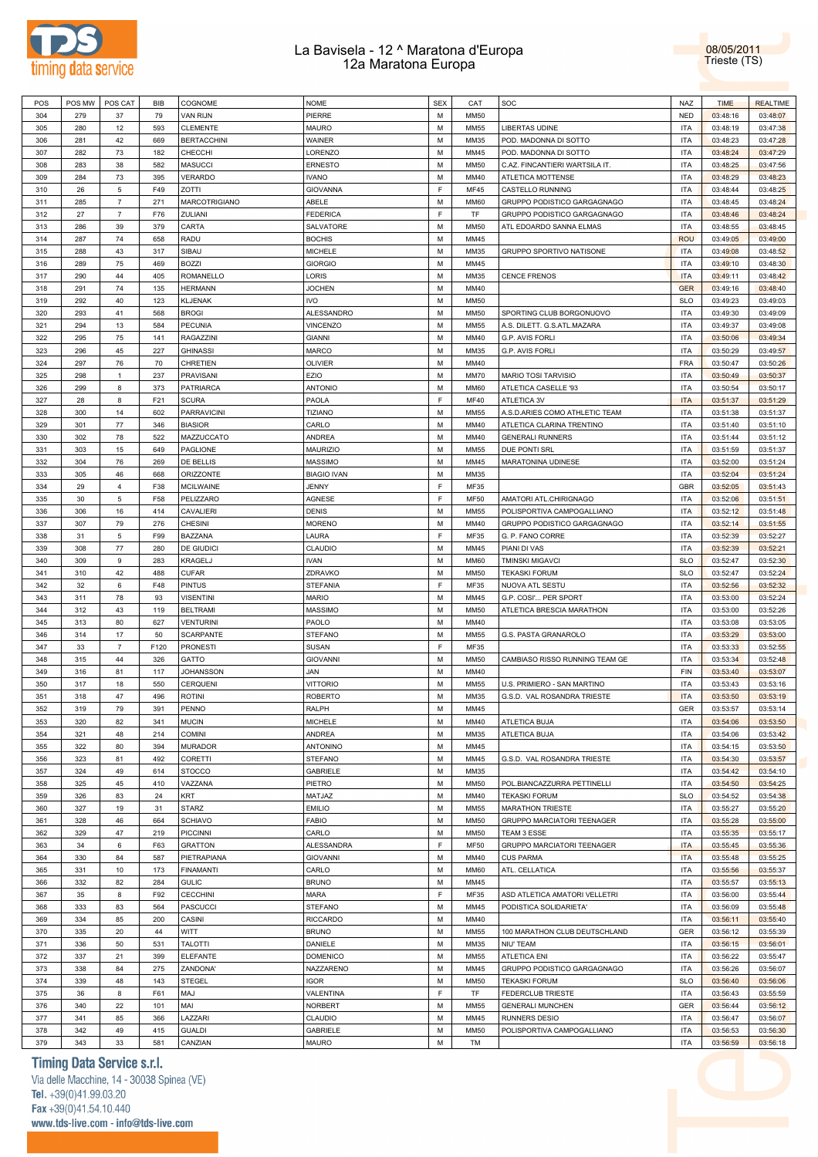



| POS | POS MW | POS CAT        | BIB  | COGNOME              | <b>NOME</b>        | <b>SEX</b>  | CAT         | SOC                            | <b>NAZ</b> | <b>TIME</b> | <b>REALTIME</b> |
|-----|--------|----------------|------|----------------------|--------------------|-------------|-------------|--------------------------------|------------|-------------|-----------------|
| 304 | 279    | 37             | 79   | <b>VAN RIJN</b>      | PIERRE             | M           | <b>MM50</b> |                                | <b>NED</b> | 03:48:16    | 03:48:07        |
| 305 | 280    | 12             | 593  | <b>CLEMENTE</b>      | MAURO              | М           | MM55        | LIBERTAS UDINE                 | <b>ITA</b> | 03:48:19    | 03:47:38        |
| 306 | 281    | 42             | 669  | <b>BERTACCHINI</b>   | WAINER             | M           | MM35        | POD. MADONNA DI SOTTO          | <b>ITA</b> | 03:48:23    | 03:47:28        |
| 307 | 282    | 73             | 182  | CHECCHI              | LORENZO            | M           | MM45        | POD. MADONNA DI SOTTO          | <b>ITA</b> | 03:48:24    | 03:47:29        |
| 308 | 283    | 38             | 582  | <b>MASUCCI</b>       | <b>ERNESTO</b>     | M           | <b>MM50</b> | C.AZ. FINCANTIERI WARTSILA IT. | <b>ITA</b> | 03:48:25    | 03:47:56        |
|     |        |                |      |                      |                    |             |             |                                |            |             |                 |
| 309 | 284    | 73             | 395  | <b>VERARDO</b>       | <b>IVANO</b>       | M           | MM40        | ATLETICA MOTTENSE              | <b>ITA</b> | 03:48:29    | 03:48:23        |
| 310 | 26     | 5              | F49  | ZOTTI                | <b>GIOVANNA</b>    | E           | <b>MF45</b> | CASTELLO RUNNING               | <b>ITA</b> | 03:48:44    | 03:48:25        |
| 311 | 285    | $\overline{7}$ | 271  | <b>MARCOTRIGIANO</b> | ABELE              | M           | <b>MM60</b> | GRUPPO PODISTICO GARGAGNAGO    | <b>ITA</b> | 03:48:45    | 03:48:24        |
| 312 | 27     | $\overline{7}$ | F76  | ZULIANI              | <b>FEDERICA</b>    | F           | TF          | GRUPPO PODISTICO GARGAGNAGO    | <b>ITA</b> | 03:48:46    | 03:48:24        |
| 313 | 286    | 39             | 379  | CARTA                | SALVATORE          | M           | <b>MM50</b> | ATL EDOARDO SANNA ELMAS        | <b>ITA</b> | 03:48:55    | 03:48:45        |
| 314 | 287    | 74             | 658  | RADU                 | <b>BOCHIS</b>      | M           | MM45        |                                | <b>ROU</b> | 03:49:05    | 03:49:00        |
| 315 | 288    | 43             | 317  | SIBAU                | <b>MICHELE</b>     | M           | MM35        | GRUPPO SPORTIVO NATISONE       | <b>ITA</b> | 03:49:08    | 03:48:52        |
| 316 | 289    | 75             | 469  | <b>BOZZI</b>         | <b>GIORGIO</b>     | M           | MM45        |                                | <b>ITA</b> | 03:49:10    | 03:48:30        |
| 317 | 290    | 44             | 405  | <b>ROMANELLO</b>     | LORIS              | M           | MM35        | <b>CENCE FRENOS</b>            | <b>ITA</b> | 03:49:11    | 03:48:42        |
| 318 | 291    | 74             | 135  | <b>HERMANN</b>       | <b>JOCHEN</b>      | M           | MM40        |                                | <b>GER</b> | 03:49:16    | 03:48:40        |
| 319 | 292    | 40             | 123  | <b>KLJENAK</b>       | IVO                | M           | <b>MM50</b> |                                | <b>SLO</b> | 03:49:23    | 03:49:03        |
| 320 | 293    | 41             | 568  | <b>BROGI</b>         | ALESSANDRO         | M           | <b>MM50</b> | SPORTING CLUB BORGONUOVO       | <b>ITA</b> | 03:49:30    | 03:49:09        |
| 321 | 294    | 13             | 584  | <b>PECUNIA</b>       | <b>VINCENZO</b>    | M           | MM55        | A.S. DILETT. G.S.ATL.MAZARA    | <b>ITA</b> | 03:49:37    | 03:49:08        |
| 322 | 295    | 75             | 141  | <b>RAGAZZINI</b>     | <b>GIANNI</b>      | M           | MM40        | G.P. AVIS FORLI                | <b>ITA</b> | 03:50:06    | 03:49:34        |
|     |        |                |      |                      |                    |             |             |                                |            |             |                 |
| 323 | 296    | 45             | 227  | <b>GHINASSI</b>      | <b>MARCO</b>       | M           | MM35        | G.P. AVIS FORLI                | <b>ITA</b> | 03:50:29    | 03:49:57        |
| 324 | 297    | 76             | 70   | CHRETIEN             | <b>OLIVIER</b>     | M           | MM40        |                                | <b>FRA</b> | 03:50:47    | 03:50:26        |
| 325 | 298    | $\mathbf{1}$   | 237  | PRAVISANI            | EZIO               | M           | <b>MM70</b> | MARIO TOSI TARVISIO            | <b>ITA</b> | 03:50:49    | 03:50:37        |
| 326 | 299    | 8              | 373  | PATRIARCA            | <b>ANTONIO</b>     | M           | <b>MM60</b> | ATLETICA CASELLE '93           | <b>ITA</b> | 03:50:54    | 03:50:17        |
| 327 | 28     | 8              | F21  | <b>SCURA</b>         | PAOLA              | $\mathsf F$ | MF40        | ATLETICA 3V                    | <b>ITA</b> | 03:51:37    | 03:51:29        |
| 328 | 300    | 14             | 602  | <b>PARRAVICINI</b>   | <b>TIZIANO</b>     | M           | <b>MM55</b> | A.S.D.ARIES COMO ATHLETIC TEAM | <b>ITA</b> | 03:51:38    | 03:51:37        |
| 329 | 301    | 77             | 346  | <b>BIASIOR</b>       | CARLO              | M           | MM40        | ATLETICA CLARINA TRENTINO      | <b>ITA</b> | 03:51:40    | 03:51:10        |
| 330 | 302    | 78             | 522  | MAZZUCCATO           | ANDREA             | M           | MM40        | <b>GENERALI RUNNERS</b>        | <b>ITA</b> | 03:51:44    | 03:51:12        |
| 331 | 303    | 15             | 649  | <b>PAGLIONE</b>      | <b>MAURIZIO</b>    | M           | MM55        | DUE PONTI SRL                  | <b>ITA</b> | 03:51:59    | 03:51:37        |
| 332 | 304    | 76             | 269  | DE BELLIS            | <b>MASSIMO</b>     | M           | MM45        | MARATONINA UDINESE             | <b>ITA</b> | 03:52:00    | 03:51:24        |
| 333 | 305    | 46             | 668  | <b>ORIZZONTE</b>     | <b>BIAGIO IVAN</b> | M           | MM35        |                                | <b>ITA</b> | 03:52:04    | 03:51:24        |
|     |        |                |      | <b>MCILWAINE</b>     |                    | E           |             |                                |            |             |                 |
| 334 | 29     | 4              | F38  |                      | JENNY              |             | MF35        |                                | GBR        | 03:52:05    | 03:51:43        |
| 335 | 30     | 5              | F58  | PELIZZARO            | AGNESE             | E           | <b>MF50</b> | AMATORI ATL.CHIRIGNAGO         | <b>ITA</b> | 03:52:06    | 03:51:51        |
| 336 | 306    | 16             | 414  | CAVALIERI            | <b>DENIS</b>       | M           | MM55        | POLISPORTIVA CAMPOGALLIANO     | <b>ITA</b> | 03:52:12    | 03:51:48        |
| 337 | 307    | 79             | 276  | <b>CHESINI</b>       | <b>MORENO</b>      | M           | MM40        | GRUPPO PODISTICO GARGAGNAGO    | <b>ITA</b> | 03:52:14    | 03:51:55        |
| 338 | 31     | 5              | F99  | BAZZANA              | LAURA              | F           | MF35        | G. P. FANO CORRE               | <b>ITA</b> | 03:52:39    | 03:52:27        |
| 339 | 308    | 77             | 280  | DE GIUDICI           | CLAUDIO            | M           | MM45        | PIANI DI VAS                   | <b>ITA</b> | 03:52:39    | 03:52:21        |
| 340 | 309    | 9              | 283  | KRAGELJ              | <b>IVAN</b>        | M           | <b>MM60</b> | TMINSKI MIGAVCI                | <b>SLO</b> | 03:52:47    | 03:52:30        |
| 341 | 310    | 42             | 488  | <b>CUFAR</b>         | ZDRAVKO            | M           | <b>MM50</b> | <b>TEKASKI FORUM</b>           | <b>SLO</b> | 03:52:47    | 03:52:24        |
| 342 | 32     | 6              | F48  | <b>PINTUS</b>        | STEFANIA           | F           | MF35        | NUOVA ATL SESTU                | <b>ITA</b> | 03:52:56    | 03:52:32        |
| 343 | 311    | 78             | 93   | <b>VISENTINI</b>     | MARIO              | M           | MM45        | G.P. COSI' PER SPORT           | <b>ITA</b> | 03:53:00    | 03:52:24        |
| 344 | 312    | 43             | 119  | <b>BELTRAMI</b>      | <b>MASSIMO</b>     | M           | <b>MM50</b> | ATLETICA BRESCIA MARATHON      | <b>ITA</b> | 03:53:00    | 03:52:26        |
| 345 | 313    | 80             | 627  | <b>VENTURINI</b>     | PAOLO              | M           | MM40        |                                | <b>ITA</b> | 03:53:08    | 03:53:05        |
|     |        |                |      |                      |                    |             |             | G.S. PASTA GRANAROLO           |            |             |                 |
| 346 | 314    | 17             | 50   | <b>SCARPANTE</b>     | <b>STEFANO</b>     | M           | MM55        |                                | <b>ITA</b> | 03:53:29    | 03:53:00        |
| 347 | 33     | $\overline{7}$ | F120 | <b>PRONESTI</b>      | <b>SUSAN</b>       | E           | MF35        |                                | <b>ITA</b> | 03:53:33    | 03:52:55        |
| 348 | 315    | 44             | 326  | GATTO                | <b>GIOVANNI</b>    | M           | <b>MM50</b> | CAMBIASO RISSO RUNNING TEAM GE | <b>ITA</b> | 03:53:34    | 03:52:48        |
| 349 | 316    | 81             | 117  | <b>JOHANSSON</b>     | JAN                | M           | MM40        |                                | <b>FIN</b> | 03:53:40    | 03:53:07        |
| 350 | 317    | 18             | 550  | CERQUENI             | <b>VITTORIO</b>    | M           | <b>MM55</b> | U.S. PRIMIERO - SAN MARTINO    | <b>ITA</b> | 03:53:43    | 03:53:16        |
| 351 | 318    | 47             | 496  | <b>ROTINI</b>        | <b>ROBERTO</b>     | M           | MM35        | G.S.D. VAL ROSANDRA TRIESTE    | <b>ITA</b> | 03:53:50    | 03:53:19        |
| 352 | 319    | 79             | 391  | PENNO                | RALPH              | M           | MM45        |                                | <b>GER</b> | 03:53:57    | 03:53:14        |
| 353 | 320    | 82             | 341  | <b>MUCIN</b>         | <b>MICHELE</b>     | М           | MM40        | ATLETICA BUJA                  | <b>ITA</b> | 03:54:06    | 03:53:50        |
| 354 | 321    | 48             | 214  | <b>COMINI</b>        | ANDREA             | M           | MM35        | ATLETICA BUJA                  | <b>ITA</b> | 03:54:06    | 03:53:42        |
| 355 | 322    | 80             | 394  | <b>MURADOR</b>       | <b>ANTONINO</b>    | M           | MM45        |                                | <b>ITA</b> | 03:54:15    | 03:53:50        |
| 356 | 323    | 81             | 492  | CORETTI              | <b>STEFANO</b>     | M           | MM45        | G.S.D. VAL ROSANDRA TRIESTE    | <b>ITA</b> | 03:54:30    | 03:53:57        |
| 357 | 324    | 49             | 614  | <b>STOCCO</b>        | <b>GABRIELE</b>    | M           | MM35        |                                | <b>ITA</b> | 03:54:42    | 03:54:10        |
|     |        |                |      |                      |                    |             |             |                                |            |             |                 |
| 358 | 325    | 45             | 410  | VAZZANA              | PIETRO             | M           | <b>MM50</b> | POL.BIANCAZZURRA PETTINELLI    | <b>ITA</b> | 03:54:50    | 03:54:25        |
| 359 | 326    | 83             | 24   | KRT                  | MATJAZ             | M           | MM40        | <b>TEKASKI FORUM</b>           | <b>SLO</b> | 03:54:52    | 03:54:38        |
| 360 | 327    | 19             | 31   | <b>STARZ</b>         | <b>EMILIO</b>      | M           | <b>MM55</b> | <b>MARATHON TRIESTE</b>        | <b>ITA</b> | 03:55:27    | 03:55:20        |
| 361 | 328    | 46             | 664  | <b>SCHIAVO</b>       | <b>FABIO</b>       | M           | <b>MM50</b> | GRUPPO MARCIATORI TEENAGER     | <b>ITA</b> | 03:55:28    | 03:55:00        |
| 362 | 329    | 47             | 219  | <b>PICCINNI</b>      | CARLO              | M           | <b>MM50</b> | TEAM 3 ESSE                    | <b>ITA</b> | 03:55:35    | 03:55:17        |
| 363 | 34     | 6              | F63  | <b>GRATTON</b>       | <b>ALESSANDRA</b>  | F           | <b>MF50</b> | GRUPPO MARCIATORI TEENAGER     | <b>ITA</b> | 03:55:45    | 03:55:36        |
| 364 | 330    | 84             | 587  | PIETRAPIANA          | <b>GIOVANNI</b>    | M           | MM40        | <b>CUS PARMA</b>               | <b>ITA</b> | 03:55:48    | 03:55:25        |
| 365 | 331    | 10             | 173  | <b>FINAMANTI</b>     | CARLO              | M           | <b>MM60</b> | ATL. CELLATICA                 | <b>ITA</b> | 03:55:56    | 03:55:37        |
| 366 | 332    | 82             | 284  | <b>GULIC</b>         | <b>BRUNO</b>       | M           | MM45        |                                | <b>ITA</b> | 03:55:57    | 03:55:13        |
| 367 | 35     | 8              | F92  | <b>CECCHINI</b>      | MARA               | F           | MF35        | ASD ATLETICA AMATORI VELLETRI  | <b>ITA</b> | 03:56:00    | 03:55:44        |
| 368 | 333    | 83             | 564  | <b>PASCUCCI</b>      | <b>STEFANO</b>     | M           | MM45        | PODISTICA SOLIDARIETA'         | <b>ITA</b> | 03:56:09    | 03:55:48        |
|     |        |                |      |                      |                    |             |             |                                |            |             |                 |
| 369 | 334    | 85             | 200  | CASINI               | <b>RICCARDO</b>    | M           | MM40        |                                | <b>ITA</b> | 03:56:11    | 03:55:40        |
| 370 | 335    | 20             | 44   | WITT                 | <b>BRUNO</b>       | M           | <b>MM55</b> | 100 MARATHON CLUB DEUTSCHLAND  | <b>GER</b> | 03:56:12    | 03:55:39        |
| 371 | 336    | 50             | 531  | <b>TALOTTI</b>       | DANIELE            | M           | MM35        | NIU' TEAM                      | <b>ITA</b> | 03:56:15    | 03:56:01        |
| 372 | 337    | 21             | 399  | <b>ELEFANTE</b>      | <b>DOMENICO</b>    | M           | <b>MM55</b> | <b>ATLETICA ENI</b>            | <b>ITA</b> | 03:56:22    | 03:55:47        |
| 373 | 338    | 84             | 275  | ZANDONA'             | NAZZARENO          | M           | MM45        | GRUPPO PODISTICO GARGAGNAGO    | <b>ITA</b> | 03:56:26    | 03:56:07        |
| 374 | 339    | 48             | 143  | <b>STEGEL</b>        | IGOR               | M           | <b>MM50</b> | <b>TEKASKI FORUM</b>           | <b>SLO</b> | 03:56:40    | 03:56:06        |
| 375 | 36     | 8              | F61  | MAJ                  | VALENTINA          | E           | TF          | FEDERCLUB TRIESTE              | <b>ITA</b> | 03:56:43    | 03:55:59        |
| 376 | 340    | 22             | 101  | MAI                  | <b>NORBERT</b>     | M           | <b>MM55</b> | <b>GENERALI MUNCHEN</b>        | <b>GER</b> | 03:56:44    | 03:56:12        |
| 377 | 341    | 85             | 366  | LAZZARI              | CLAUDIO            | M           | MM45        | RUNNERS DESIO                  | <b>ITA</b> | 03:56:47    | 03:56:07        |
| 378 | 342    | 49             | 415  | <b>GUALDI</b>        | <b>GABRIELE</b>    | M           | <b>MM50</b> | POLISPORTIVA CAMPOGALLIANO     | <b>ITA</b> | 03:56:53    | 03:56:30        |
| 379 | 343    | 33             | 581  | CANZIAN              | <b>MAURO</b>       | M           | TM          |                                | ITA        | 03:56:59    | 03:56:18        |
|     |        |                |      |                      |                    |             |             |                                |            |             |                 |

# **Timing Data Service s.r.l.**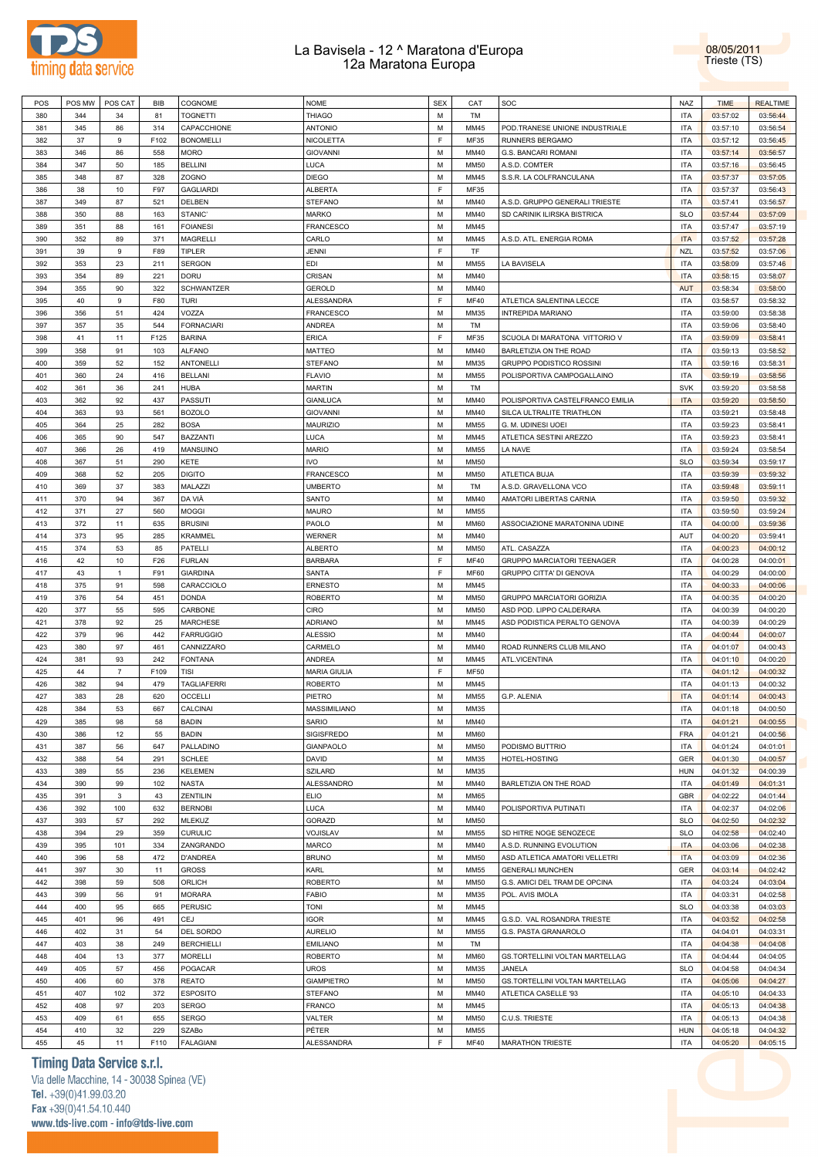



| POS | POS MW | POS CAT        | BIB  | COGNOME            | <b>NOME</b>         | <b>SEX</b> | CAT         | SOC                              | <b>NAZ</b> | <b>TIME</b> | <b>REALTIME</b> |
|-----|--------|----------------|------|--------------------|---------------------|------------|-------------|----------------------------------|------------|-------------|-----------------|
| 380 | 344    | 34             | 81   | <b>TOGNETTI</b>    | <b>THIAGO</b>       | M          | TM          |                                  | ITA        | 03:57:02    | 03:56:44        |
| 381 | 345    | 86             | 314  | CAPACCHIONE        | <b>ANTONIO</b>      | M          | MM45        |                                  | <b>ITA</b> | 03:57:10    | 03:56:54        |
|     |        |                |      |                    |                     |            |             | POD.TRANESE UNIONE INDUSTRIALE   |            |             |                 |
| 382 | 37     | 9              | F102 | <b>BONOMELLI</b>   | NICOLETTA           | F          | MF35        | RUNNERS BERGAMO                  | ITA        | 03:57:12    | 03:56:45        |
| 383 | 346    | 86             | 558  | <b>MORO</b>        | <b>GIOVANNI</b>     | M          | MM40        | G.S. BANCARI ROMANI              | <b>ITA</b> | 03:57:14    | 03:56:57        |
| 384 | 347    | 50             | 185  | <b>BELLINI</b>     | LUCA                | M          | <b>MM50</b> | A.S.D. COMTER                    | <b>ITA</b> | 03:57:16    | 03:56:45        |
| 385 | 348    | 87             | 328  | ZOGNO              | <b>DIEGO</b>        | M          | MM45        | S.S.R. LA COLFRANCULANA          | <b>ITA</b> | 03:57:37    | 03:57:05        |
|     |        |                |      |                    |                     | F          |             |                                  |            |             |                 |
| 386 | 38     | 10             | F97  | <b>GAGLIARDI</b>   | <b>ALBERTA</b>      |            | <b>MF35</b> |                                  | ITA        | 03:57:37    | 03:56:43        |
| 387 | 349    | 87             | 521  | DELBEN             | <b>STEFANO</b>      | M          | MM40        | A.S.D. GRUPPO GENERALI TRIESTE   | <b>ITA</b> | 03:57:41    | 03:56:57        |
| 388 | 350    | 88             | 163  | STANIC'            | <b>MARKO</b>        | M          | MM40        | SD CARINIK ILIRSKA BISTRICA      | <b>SLO</b> | 03:57:44    | 03:57:09        |
| 389 | 351    | 88             | 161  | <b>FOIANESI</b>    | <b>FRANCESCO</b>    | M          | MM45        |                                  | <b>ITA</b> | 03:57:47    | 03:57:19        |
| 390 | 352    | 89             | 371  | MAGRELLI           | CARLO               | M          | MM45        | A.S.D. ATL. ENERGIA ROMA         | <b>ITA</b> | 03:57:52    | 03:57:28        |
|     |        |                |      |                    |                     |            |             |                                  |            |             |                 |
| 391 | 39     | 9              | F89  | TIPLER             | JENNI               | F          | TF          |                                  | <b>NZL</b> | 03:57:52    | 03:57:06        |
| 392 | 353    | 23             | 211  | <b>SERGON</b>      | EDI                 | M          | <b>MM55</b> | LA BAVISELA                      | ITA        | 03:58:09    | 03:57:46        |
| 393 | 354    | 89             | 221  | <b>DORU</b>        | CRISAN              | M          | MM40        |                                  | <b>ITA</b> | 03:58:15    | 03:58:07        |
| 394 | 355    | 90             | 322  | <b>SCHWANTZER</b>  | <b>GEROLD</b>       | M          | MM40        |                                  | <b>AUT</b> | 03:58:34    | 03:58:00        |
| 395 | 40     | 9              | F80  | <b>TURI</b>        | ALESSANDRA          | F          | <b>MF40</b> | ATLETICA SALENTINA LECCE         | <b>ITA</b> | 03:58:57    | 03:58:32        |
|     |        |                |      |                    |                     |            |             |                                  |            |             |                 |
| 396 | 356    | 51             | 424  | VOZZA              | <b>FRANCESCO</b>    | M          | MM35        | INTREPIDA MARIANO                | <b>ITA</b> | 03:59:00    | 03:58:38        |
| 397 | 357    | 35             | 544  | <b>FORNACIARI</b>  | <b>ANDREA</b>       | M          | TM          |                                  | <b>ITA</b> | 03:59:06    | 03:58:40        |
| 398 | 41     | 11             | F125 | <b>BARINA</b>      | <b>ERICA</b>        | F          | MF35        | SCUOLA DI MARATONA VITTORIO V    | <b>ITA</b> | 03:59:09    | 03:58:41        |
| 399 | 358    | 91             | 103  | <b>ALFANO</b>      | <b>MATTEO</b>       | M          | MM40        | BARLETIZIA ON THE ROAD           | <b>ITA</b> | 03:59:13    | 03:58:52        |
| 400 | 359    | 52             | 152  | <b>ANTONELLI</b>   | <b>STEFANO</b>      | M          | MM35        | GRUPPO PODISTICO ROSSINI         | ITA        | 03:59:16    | 03:58:31        |
|     |        |                |      |                    |                     |            |             |                                  |            |             |                 |
| 401 | 360    | 24             | 416  | <b>BELLANI</b>     | <b>FLAVIO</b>       | M          | <b>MM55</b> | POLISPORTIVA CAMPOGALLAINO       | <b>ITA</b> | 03:59:19    | 03:58:56        |
| 402 | 361    | 36             | 241  | <b>HUBA</b>        | <b>MARTIN</b>       | M          | TM          |                                  | <b>SVK</b> | 03:59:20    | 03:58:58        |
| 403 | 362    | 92             | 437  | PASSUTI            | <b>GIANLUCA</b>     | M          | MM40        | POLISPORTIVA CASTELFRANCO EMILIA | <b>ITA</b> | 03:59:20    | 03:58:50        |
| 404 | 363    | 93             | 561  | <b>BOZOLO</b>      | <b>GIOVANNI</b>     | M          | MM40        | SILCA ULTRALITE TRIATHLON        | <b>ITA</b> | 03:59:21    | 03:58:48        |
| 405 | 364    | 25             | 282  | <b>BOSA</b>        | MAURIZIO            | M          | <b>MM55</b> | G. M. UDINESI UOEI               | <b>ITA</b> | 03:59:23    | 03:58:41        |
|     |        |                |      |                    |                     |            |             |                                  |            |             |                 |
| 406 | 365    | 90             | 547  | BAZZANTI           | LUCA                | M          | MM45        | ATLETICA SESTINI AREZZO          | ITA        | 03:59:23    | 03:58:41        |
| 407 | 366    | 26             | 419  | MANSUINO           | <b>MARIO</b>        | M          | MM55        | LA NAVE                          | <b>ITA</b> | 03:59:24    | 03:58:54        |
| 408 | 367    | 51             | 290  | KETE               | <b>IVO</b>          | M          | <b>MM50</b> |                                  | <b>SLO</b> | 03:59:34    | 03:59:17        |
| 409 | 368    | 52             | 205  | <b>DIGITO</b>      | <b>FRANCESCO</b>    | M          | <b>MM50</b> | ATLETICA BUJA                    | <b>ITA</b> | 03:59:39    | 03:59:32        |
|     |        |                |      |                    |                     |            |             |                                  |            |             |                 |
| 410 | 369    | 37             | 383  | MALAZZI            | <b>UMBERTO</b>      | M          | TM          | A.S.D. GRAVELLONA VCO            | <b>ITA</b> | 03:59:48    | 03:59:11        |
| 411 | 370    | 94             | 367  | DA VIÀ             | SANTO               | M          | MM40        | AMATORI LIBERTAS CARNIA          | <b>ITA</b> | 03:59:50    | 03:59:32        |
| 412 | 371    | 27             | 560  | <b>MOGGI</b>       | <b>MAURO</b>        | M          | <b>MM55</b> |                                  | ITA        | 03:59:50    | 03:59:24        |
| 413 | 372    | 11             | 635  | <b>BRUSINI</b>     | PAOLO               | M          | <b>MM60</b> | ASSOCIAZIONE MARATONINA UDINE    | <b>ITA</b> | 04:00:00    | 03:59:36        |
| 414 | 373    | 95             | 285  | <b>KRAMMEL</b>     | <b>WERNER</b>       | M          | MM40        |                                  | AUT        | 04:00:20    | 03:59:41        |
|     |        |                |      |                    |                     |            |             |                                  |            |             |                 |
| 415 | 374    | 53             | 85   | PATELLI            | <b>ALBERTO</b>      | M          | <b>MM50</b> | ATL. CASAZZA                     | <b>ITA</b> | 04:00:23    | 04:00:12        |
| 416 | 42     | 10             | F26  | <b>FURLAN</b>      | <b>BARBARA</b>      | F          | <b>MF40</b> | GRUPPO MARCIATORI TEENAGER       | <b>ITA</b> | 04:00:28    | 04:00:01        |
| 417 | 43     | $\mathbf{1}$   | F91  | <b>GIARDINA</b>    | SANTA               | E          | <b>MF60</b> | GRUPPO CITTA' DI GENOVA          | <b>ITA</b> | 04:00:29    | 04:00:00        |
| 418 | 375    | 91             | 598  | CARACCIOLO         | <b>ERNESTO</b>      | M          | MM45        |                                  | ITA        | 04:00:33    | 04:00:06        |
| 419 | 376    | 54             | 451  | <b>DONDA</b>       | <b>ROBERTO</b>      | M          | <b>MM50</b> | GRUPPO MARCIATORI GORIZIA        | <b>ITA</b> | 04:00:35    | 04:00:20        |
| 420 |        | 55             |      |                    | CIRO                | M          | <b>MM50</b> |                                  | <b>ITA</b> |             |                 |
|     | 377    |                | 595  | CARBONE            |                     |            |             | ASD POD. LIPPO CALDERARA         |            | 04:00:39    | 04:00:20        |
| 421 | 378    | 92             | 25   | <b>MARCHESE</b>    | <b>ADRIANO</b>      | M          | MM45        | ASD PODISTICA PERALTO GENOVA     | <b>ITA</b> | 04:00:39    | 04:00:29        |
| 422 | 379    | 96             | 442  | <b>FARRUGGIO</b>   | <b>ALESSIO</b>      | M          | MM40        |                                  | <b>ITA</b> | 04:00:44    | 04:00:07        |
| 423 | 380    | 97             | 461  | CANNIZZARO         | CARMELO             | M          | MM40        | ROAD RUNNERS CLUB MILANO         | <b>ITA</b> | 04:01:07    | 04:00:43        |
| 424 | 381    | 93             | 242  | <b>FONTANA</b>     | <b>ANDREA</b>       | M          | MM45        | ATL.VICENTINA                    | ITA        | 04:01:10    | 04:00:20        |
| 425 | 44     | $\overline{7}$ | F109 | TISI               | <b>MARIA GIULIA</b> | F          | <b>MF50</b> |                                  | <b>ITA</b> | 04:01:12    | 04:00:32        |
|     |        |                |      |                    |                     |            |             |                                  |            |             |                 |
| 426 | 382    | 94             | 479  | <b>TAGLIAFERRI</b> | <b>ROBERTO</b>      | M          | MM45        |                                  | ITA        | 04:01:13    | 04:00:32        |
| 427 | 383    | 28             | 620  | <b>OCCELLI</b>     | PIETRO              | M          | <b>MM55</b> | G.P. ALENIA                      | <b>ITA</b> | 04:01:14    | 04:00:43        |
| 428 | 384    | 53             | 667  | CALCINAI           | MASSIMILIANO        | M          | MM35        |                                  | <b>ITA</b> | 04:01:18    | 04:00:50        |
| 429 | 385    | 98             | 58   | <b>BADIN</b>       | SARIO               | M          | MM40        |                                  | ITA        | 04:01:21    | 04:00:55        |
| 430 | 386    | 12             |      | <b>BADIN</b>       | SIGISFREDO          | M          | <b>MM60</b> |                                  | FRA        | 04:01:21    | 04:00:56        |
|     |        |                | 55   |                    |                     |            |             |                                  |            |             |                 |
| 431 | 387    | 56             | 647  | PALLADINO          | GIANPAOLO           | M          | <b>MM50</b> | PODISMO BUTTRIO                  | ITA        | 04:01:24    | 04:01:01        |
| 432 | 388    | 54             | 291  | SCHLEE             | DAVID               | M          | MM35        | HOTEL-HOSTING                    | GER        | 04:01:30    | 04:00:57        |
| 433 | 389    | 55             | 236  | <b>KELEMEN</b>     | <b>SZILARD</b>      | M          | MM35        |                                  | <b>HUN</b> | 04:01:32    | 04:00:39        |
| 434 | 390    | 99             | 102  | <b>NASTA</b>       | ALESSANDRO          | M          | MM40        | BARLETIZIA ON THE ROAD           | ITA        | 04:01:49    | 04:01:31        |
| 435 | 391    | 3              | 43   | ZENTILIN           | <b>ELIO</b>         | M          | <b>MM65</b> |                                  | <b>GBR</b> | 04:02:22    | 04:01:44        |
|     |        |                |      |                    |                     |            |             |                                  |            |             |                 |
| 436 | 392    | 100            | 632  | <b>BERNOBI</b>     | LUCA                | M          | MM40        | POLISPORTIVA PUTINATI            | ITA        | 04:02:37    | 04:02:06        |
| 437 | 393    | 57             | 292  | MLEKUZ             | GORAZD              | M          | <b>MM50</b> |                                  | <b>SLO</b> | 04:02:50    | 04:02:32        |
| 438 | 394    | 29             | 359  | <b>CURULIC</b>     | VOJISLAV            | M          | <b>MM55</b> | SD HITRE NOGE SENOZECE           | <b>SLO</b> | 04:02:58    | 04:02:40        |
| 439 | 395    | 101            | 334  | ZANGRANDO          | MARCO               | M          | MM40        | A.S.D. RUNNING EVOLUTION         | <b>ITA</b> | 04:03:06    | 04:02:38        |
|     |        |                |      |                    |                     | M          |             |                                  | <b>ITA</b> |             |                 |
| 440 | 396    | 58             | 472  | <b>D'ANDREA</b>    | <b>BRUNO</b>        |            | <b>MM50</b> | ASD ATLETICA AMATORI VELLETRI    |            | 04:03:09    | 04:02:36        |
| 441 | 397    | 30             | 11   | <b>GROSS</b>       | KARL                | M          | <b>MM55</b> | <b>GENERALI MUNCHEN</b>          | GER        | 04:03:14    | 04:02:42        |
| 442 | 398    | 59             | 508  | ORLICH             | <b>ROBERTO</b>      | M          | <b>MM50</b> | G.S. AMICI DEL TRAM DE OPCINA    | ITA        | 04:03:24    | 04:03:04        |
| 443 | 399    | 56             | 91   | <b>MORARA</b>      | <b>FABIO</b>        | M          | MM35        | POL. AVIS IMOLA                  | <b>ITA</b> | 04:03:31    | 04:02:58        |
| 444 | 400    | 95             | 665  | <b>PERUSIC</b>     | <b>TONI</b>         | M          | MM45        |                                  | <b>SLO</b> | 04:03:38    | 04:03:03        |
|     |        |                |      |                    |                     |            |             |                                  |            |             |                 |
| 445 | 401    | 96             | 491  | CEJ                | <b>IGOR</b>         | M          | MM45        | G.S.D. VAL ROSANDRA TRIESTE      | <b>ITA</b> | 04:03:52    | 04:02:58        |
| 446 | 402    | 31             | 54   | DEL SORDO          | <b>AURELIO</b>      | M          | <b>MM55</b> | G.S. PASTA GRANAROLO             | ITA        | 04:04:01    | 04:03:31        |
| 447 | 403    | 38             | 249  | <b>BERCHIELLI</b>  | <b>EMILIANO</b>     | M          | TM          |                                  | ITA        | 04:04:38    | 04:04:08        |
| 448 | 404    | 13             | 377  | <b>MORELLI</b>     | <b>ROBERTO</b>      | M          | <b>MM60</b> | GS.TORTELLINI VOLTAN MARTELLAG   | ITA        | 04:04:44    | 04:04:05        |
| 449 | 405    | 57             | 456  | POGACAR            | <b>UROS</b>         | M          | MM35        | JANELA                           | <b>SLO</b> | 04:04:58    | 04:04:34        |
|     |        |                |      |                    |                     |            |             |                                  |            |             |                 |
| 450 | 406    | 60             | 378  | <b>REATO</b>       | <b>GIAMPIETRO</b>   | M          | <b>MM50</b> | GS.TORTELLINI VOLTAN MARTELLAG   | ITA        | 04:05:06    | 04:04:27        |
| 451 | 407    | 102            | 372  | <b>ESPOSITO</b>    | <b>STEFANO</b>      | M          | MM40        | ATLETICA CASELLE '93             | ITA        | 04:05:10    | 04:04:33        |
| 452 | 408    | 97             | 203  | <b>SERGO</b>       | <b>FRANCO</b>       | M          | MM45        |                                  | ITA        | 04:05:13    | 04:04:38        |
| 453 | 409    | 61             | 655  | <b>SERGO</b>       | VALTER              | M          | <b>MM50</b> | C.U.S. TRIESTE                   | ITA        | 04:05:13    | 04:04:38        |
|     |        |                |      |                    |                     |            |             |                                  |            |             |                 |
| 454 | 410    | 32             | 229  | SZABo              | PÉTER               | M          | <b>MM55</b> |                                  | <b>HUN</b> | 04:05:18    | 04:04:32        |
| 455 | 45     | 11             | F110 | <b>FALAGIANI</b>   | <b>ALESSANDRA</b>   | F          | <b>MF40</b> | MARATHON TRIESTE                 | <b>ITA</b> | 04:05:20    | 04:05:15        |

## **Timing Data Service s.r.l.**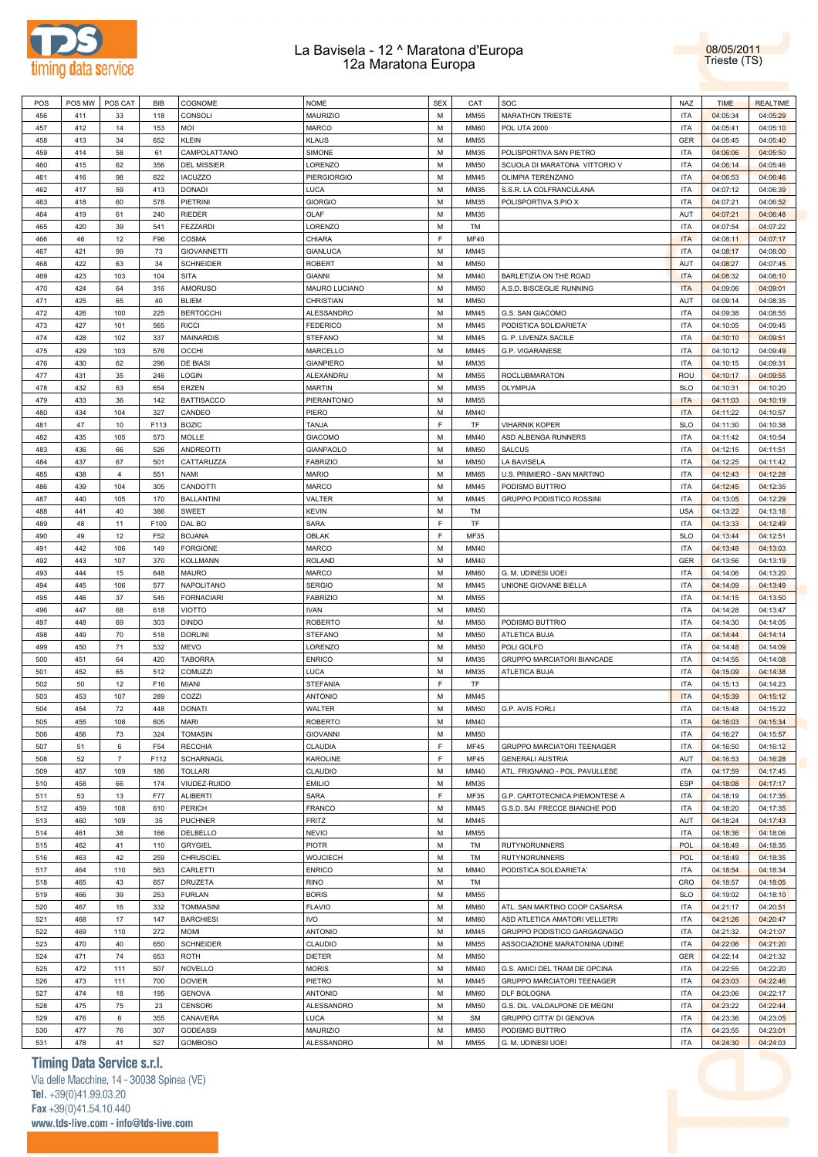



| POS | POS MW | POS CAT        | BIB  | COGNOME            | NOME               | <b>SEX</b>  | CAT         | SOC                            | NAZ        | <b>TIME</b> | <b>REALTIME</b> |
|-----|--------|----------------|------|--------------------|--------------------|-------------|-------------|--------------------------------|------------|-------------|-----------------|
| 456 | 411    | 33             | 118  | <b>CONSOLI</b>     | <b>MAURIZIO</b>    | М           | <b>MM55</b> | <b>MARATHON TRIESTE</b>        | <b>ITA</b> | 04:05:34    | 04:05:29        |
| 457 | 412    | 14             | 153  | MOI                | MARCO              | M           | <b>MM60</b> | <b>POL UTA 2000</b>            | <b>ITA</b> | 04:05:41    | 04:05:10        |
|     |        |                |      |                    |                    |             |             |                                |            |             |                 |
| 458 | 413    | 34             | 652  | <b>KLEIN</b>       | <b>KLAUS</b>       | M           | <b>MM55</b> |                                | GER        | 04:05:45    | 04:05:40        |
| 459 | 414    | 58             | 61   | CAMPOLATTANO       | SIMONE             | M           | MM35        | POLISPORTIVA SAN PIETRO        | <b>ITA</b> | 04:06:06    | 04:05:50        |
| 460 | 415    | 62             | 356  | <b>DEL MISSIER</b> | LORENZO            | M           | <b>MM50</b> | SCUOLA DI MARATONA VITTORIO V  | <b>ITA</b> | 04:06:14    | 04:05:46        |
| 461 | 416    | 98             | 622  | <b>IACUZZO</b>     | <b>PIERGIORGIO</b> | M           | MM45        | OLIMPIA TERENZANO              | <b>ITA</b> | 04:06:53    | 04:06:46        |
| 462 | 417    | 59             | 413  | <b>DONADI</b>      | LUCA               | M           | MM35        |                                | <b>ITA</b> | 04:07:12    | 04:06:39        |
|     |        |                |      |                    |                    |             |             | S.S.R. LA COLFRANCULANA        |            |             |                 |
| 463 | 418    | 60             | 578  | PIETRINI           | <b>GIORGIO</b>     | M           | MM35        | POLISPORTIVA S.PIO X           | <b>ITA</b> | 04:07:21    | 04:06:52        |
| 464 | 419    | 61             | 240  | RIEDER             | OLAF               | M           | MM35        |                                | AUT        | 04:07:21    | 04:06:48        |
| 465 | 420    | 39             | 541  | <b>FEZZARDI</b>    | LORENZO            | M           | TM          |                                | <b>ITA</b> | 04:07:54    | 04:07:22        |
| 466 | 46     | 12             | F96  | COSMA              | CHIARA             | F           | <b>MF40</b> |                                | <b>ITA</b> | 04:08:11    | 04:07:17        |
|     |        |                |      |                    |                    |             |             |                                |            |             |                 |
| 467 | 421    | 99             | 73   | <b>GIOVANNETTI</b> | GIANLUCA           | M           | MM45        |                                | <b>ITA</b> | 04:08:17    | 04:08:00        |
| 468 | 422    | 63             | 34   | <b>SCHNEIDER</b>   | ROBERT             | M           | <b>MM50</b> |                                | AUT        | 04:08:27    | 04:07:45        |
| 469 | 423    | 103            | 104  | <b>SITA</b>        | <b>GIANNI</b>      | M           | MM40        | BARLETIZIA ON THE ROAD         | <b>ITA</b> | 04:08:32    | 04:08:10        |
| 470 | 424    | 64             | 316  | <b>AMORUSO</b>     | MAURO LUCIANO      | M           | <b>MM50</b> | A.S.D. BISCEGLIE RUNNING       | <b>ITA</b> | 04:09:06    | 04:09:01        |
| 471 | 425    | 65             | 40   | <b>BLIEM</b>       | CHRISTIAN          | M           | <b>MM50</b> |                                | AUT        | 04:09:14    | 04:08:35        |
|     |        |                |      |                    |                    |             |             |                                |            |             |                 |
| 472 | 426    | 100            | 225  | <b>BERTOCCHI</b>   | ALESSANDRO         | M           | MM45        | G.S. SAN GIACOMO               | <b>ITA</b> | 04:09:38    | 04:08:55        |
| 473 | 427    | 101            | 565  | <b>RICCI</b>       | <b>FEDERICO</b>    | M           | MM45        | PODISTICA SOLIDARIETA'         | <b>ITA</b> | 04:10:05    | 04:09:45        |
| 474 | 428    | 102            | 337  | <b>MAINARDIS</b>   | <b>STEFANO</b>     | M           | MM45        | G. P. LIVENZA SACILE           | <b>ITA</b> | 04:10:10    | 04:09:51        |
| 475 | 429    | 103            | 576  | <b>OCCHI</b>       | MARCELLO           | M           | MM45        | G.P. VIGARANESE                | <b>ITA</b> | 04:10:12    | 04:09:49        |
| 476 | 430    | 62             | 296  | DE BIASI           | <b>GIANPIERO</b>   | M           | MM35        |                                | <b>ITA</b> | 04:10:15    | 04:09:31        |
|     |        |                |      |                    |                    |             |             |                                |            |             |                 |
| 477 | 431    | 35             | 246  | LOGIN              | ALEXANDRU          | M           | MM55        | ROCLUBMARATON                  | ROU        | 04:10:17    | 04:09:55        |
| 478 | 432    | 63             | 654  | ERZEN              | <b>MARTIN</b>      | M           | MM35        | OLYMPIJA                       | <b>SLO</b> | 04:10:31    | 04:10:20        |
| 479 | 433    | 36             | 142  | <b>BATTISACCO</b>  | PIERANTONIO        | M           | MM55        |                                | <b>ITA</b> | 04:11:03    | 04:10:19        |
| 480 | 434    | 104            | 327  | CANDEO             | PIERO              | M           | MM40        |                                | <b>ITA</b> | 04:11:22    | 04:10:57        |
| 481 | 47     |                |      |                    | TANJA              | $\mathsf F$ | TF          |                                |            |             |                 |
|     |        | 10             | F113 | <b>BOZIC</b>       |                    |             |             | <b>VIHARNIK KOPER</b>          | <b>SLO</b> | 04:11:30    | 04:10:38        |
| 482 | 435    | 105            | 573  | <b>MOLLE</b>       | <b>GIACOMO</b>     | M           | MM40        | ASD ALBENGA RUNNERS            | <b>ITA</b> | 04:11:42    | 04:10:54        |
| 483 | 436    | 66             | 526  | <b>ANDREOTTI</b>   | GIANPAOLO          | M           | <b>MM50</b> | <b>SALCUS</b>                  | <b>ITA</b> | 04:12:15    | 04:11:51        |
| 484 | 437    | 67             | 501  | CATTARUZZA         | <b>FABRIZIO</b>    | M           | <b>MM50</b> | LA BAVISELA                    | <b>ITA</b> | 04:12:25    | 04:11:42        |
| 485 | 438    | $\overline{4}$ | 551  | <b>NAMI</b>        | <b>MARIO</b>       | M           | <b>MM65</b> | U.S. PRIMIERO - SAN MARTINO    | <b>ITA</b> | 04:12:43    | 04:12:28        |
|     |        |                |      |                    |                    |             |             |                                |            |             |                 |
| 486 | 439    | 104            | 305  | CANDOTTI           | <b>MARCO</b>       | M           | MM45        | PODISMO BUTTRIO                | <b>ITA</b> | 04:12:45    | 04:12:35        |
| 487 | 440    | 105            | 170  | <b>BALLANTINI</b>  | VALTER             | M           | MM45        | GRUPPO PODISTICO ROSSINI       | <b>ITA</b> | 04:13:05    | 04:12:29        |
| 488 | 441    | 40             | 386  | <b>SWEET</b>       | KEVIN              | M           | TM          |                                | <b>USA</b> | 04:13:22    | 04:13:16        |
| 489 | 48     | 11             | F100 | DAL BO             | SARA               | F           | TF          |                                | <b>ITA</b> | 04:13:33    | 04:12:49        |
| 490 | 49     | 12             | F52  | <b>BOJANA</b>      | OBLAK              | F           | MF35        |                                | <b>SLO</b> | 04:13:44    | 04:12:51        |
|     |        |                |      |                    |                    |             |             |                                |            |             |                 |
| 491 | 442    | 106            | 149  | <b>FORGIONE</b>    | MARCO              | M           | MM40        |                                | <b>ITA</b> | 04:13:48    | 04:13:03        |
| 492 | 443    | 107            | 370  | <b>KOLLMANN</b>    | <b>ROLAND</b>      | M           | MM40        |                                | GER        | 04:13:56    | 04:13:19        |
| 493 | 444    | 15             | 648  | <b>MAURO</b>       | MARCO              | M           | <b>MM60</b> | G. M. UDINESI UOEI             | <b>ITA</b> | 04:14:06    | 04:13:20        |
| 494 | 445    | 106            | 577  | NAPOLITANO         | <b>SERGIO</b>      | M           | MM45        | UNIONE GIOVANE BIELLA          | <b>ITA</b> | 04:14:09    | 04:13:49        |
| 495 | 446    | 37             | 545  | <b>FORNACIARI</b>  | <b>FABRIZIO</b>    | M           | <b>MM55</b> |                                | <b>ITA</b> | 04:14:15    | 04:13:50        |
|     |        |                |      |                    |                    |             |             |                                |            |             |                 |
| 496 | 447    | 68             | 618  | <b>VIOTTO</b>      | IVAN               | M           | <b>MM50</b> |                                | <b>ITA</b> | 04:14:28    | 04:13:47        |
| 497 | 448    | 69             | 303  | <b>DINDO</b>       | <b>ROBERTO</b>     | M           | <b>MM50</b> | PODISMO BUTTRIO                | <b>ITA</b> | 04:14:30    | 04:14:05        |
| 498 | 449    | 70             | 518  | <b>DORLINI</b>     | <b>STEFANO</b>     | M           | <b>MM50</b> | ATLETICA BUJA                  | <b>ITA</b> | 04:14:44    | 04:14:14        |
| 499 | 450    | 71             | 532  | <b>MEVO</b>        | LORENZO            | M           | <b>MM50</b> | POLI GOLFO                     | <b>ITA</b> | 04:14:48    | 04:14:09        |
| 500 | 451    | 64             | 420  | <b>TABORRA</b>     | <b>ENRICO</b>      | M           | MM35        | GRUPPO MARCIATORI BIANCADE     | <b>ITA</b> | 04:14:55    | 04:14:08        |
|     |        |                |      |                    |                    |             |             |                                |            |             |                 |
| 501 | 452    | 65             | 512  | <b>COMUZZI</b>     | LUCA               | M           | MM35        | ATLETICA BUJA                  | <b>ITA</b> | 04:15:09    | 04:14:38        |
| 502 | 50     | 12             | F16  | MIANI              | STEFANIA           | F           | TF          |                                | ITA        | 04:15:13    | 04:14:23        |
| 503 | 453    | 107            | 289  | COZZI              | <b>ANTONIO</b>     | M           | MM45        |                                | <b>ITA</b> | 04:15:39    | 04:15:12        |
| 504 | 454    | 72             | 448  | <b>DONATI</b>      | WALTER             | M           | <b>MM50</b> | G.P. AVIS FORLI                | <b>ITA</b> | 04:15:48    | 04:15:22        |
| 505 | 455    | 108            | 605  | <b>MARI</b>        | <b>ROBERTO</b>     | М           | MM40        |                                | <b>ITA</b> | 04:16:03    | 04:15:34        |
|     |        |                |      |                    |                    |             |             |                                |            |             |                 |
| 506 | 456    | 73             | 324  | <b>TOMASIN</b>     | <b>GIOVANNI</b>    | M           | <b>MM50</b> |                                | <b>ITA</b> | 04:16:27    | 04:15:57        |
| 507 | 51     | 6              | F54  | <b>RECCHIA</b>     | CLAUDIA            | $\mathsf F$ | <b>MF45</b> | GRUPPO MARCIATORI TEENAGER     | <b>ITA</b> | 04:16:50    | 04:16:12        |
| 508 | 52     | $\overline{7}$ | F112 | SCHARNAGL          | <b>KAROLINE</b>    | F           | <b>MF45</b> | <b>GENERALI AUSTRIA</b>        | AUT        | 04:16:53    | 04:16:28        |
| 509 | 457    | 109            | 186  | <b>TOLLARI</b>     | CLAUDIO            | M           | MM40        | ATL. FRIGNANO - POL. PAVULLESE | <b>ITA</b> | 04:17:59    | 04:17:45        |
| 510 | 458    | 66             | 174  | VIUDEZ-RUIDO       | <b>EMILIO</b>      | M           | MM35        |                                | ESP        | 04:18:08    | 04:17:17        |
|     |        |                |      |                    |                    |             |             |                                |            |             |                 |
| 511 | 53     | 13             | F77  | ALIBERTI           | SARA               | $\mathsf F$ | MF35        | G.P. CARTOTECNICA PIEMONTESE A | <b>ITA</b> | 04:18:19    | 04:17:35        |
| 512 | 459    | 108            | 610  | PERICH             | <b>FRANCO</b>      | M           | MM45        | G.S.D. SAI FRECCE BIANCHE POD  | <b>ITA</b> | 04:18:20    | 04:17:35        |
| 513 | 460    | 109            | 35   | <b>PUCHNER</b>     | <b>FRITZ</b>       | М           | MM45        |                                | AUT        | 04:18:24    | 04:17:43        |
| 514 | 461    | 38             | 166  | DELBELLO           | <b>NEVIO</b>       | M           | MM55        |                                | <b>ITA</b> | 04:18:36    | 04:18:06        |
|     |        |                |      |                    |                    | M           |             |                                |            |             |                 |
| 515 | 462    | 41             | 110  | <b>GRYGIEL</b>     | <b>PIOTR</b>       |             | TM          | <b>RUTYNORUNNERS</b>           | <b>POL</b> | 04:18:49    | 04:18:35        |
| 516 | 463    | 42             | 259  | CHRUSCIEL          | <b>WOJCIECH</b>    | M           | TM          | <b>RUTYNORUNNERS</b>           | <b>POL</b> | 04:18:49    | 04:18:35        |
| 517 | 464    | 110            | 563  | CARLETTI           | <b>ENRICO</b>      | M           | MM40        | PODISTICA SOLIDARIETA'         | <b>ITA</b> | 04:18:54    | 04:18:34        |
| 518 | 465    | 43             | 657  | <b>DRUZETA</b>     | <b>RINO</b>        | М           | TM          |                                | CRO        | 04:18:57    | 04:18:05        |
| 519 | 466    | 39             | 253  | <b>FURLAN</b>      | <b>BORIS</b>       | M           | <b>MM55</b> |                                | <b>SLO</b> | 04:19:02    | 04:18:10        |
|     |        |                |      |                    |                    |             |             |                                |            |             |                 |
| 520 | 467    | 16             | 332  | <b>TOMMASINI</b>   | <b>FLAVIO</b>      | M           | <b>MM60</b> | ATL. SAN MARTINO COOP CASARSA  | <b>ITA</b> | 04:21:17    | 04:20:51        |
| 521 | 468    | 17             | 147  | <b>BARCHIESI</b>   | IVO                | M           | <b>MM60</b> | ASD ATLETICA AMATORI VELLETRI  | <b>ITA</b> | 04:21:26    | 04:20:47        |
| 522 | 469    | 110            | 272  | <b>MOMI</b>        | <b>ANTONIO</b>     | M           | MM45        | GRUPPO PODISTICO GARGAGNAGO    | <b>ITA</b> | 04:21:32    | 04:21:07        |
| 523 | 470    | 40             | 650  | <b>SCHNEIDER</b>   | CLAUDIO            | M           | <b>MM55</b> | ASSOCIAZIONE MARATONINA UDINE  | <b>ITA</b> | 04:22:06    | 04:21:20        |
| 524 | 471    | 74             | 653  | <b>ROTH</b>        | <b>DIETER</b>      | M           | <b>MM50</b> |                                | GER        | 04:22:14    | 04:21:32        |
|     |        |                |      |                    |                    |             |             |                                |            |             |                 |
| 525 | 472    | 111            | 507  | <b>NOVELLO</b>     | <b>MORIS</b>       | M           | MM40        | G.S. AMICI DEL TRAM DE OPCINA  | <b>ITA</b> | 04:22:55    | 04:22:20        |
| 526 | 473    | 111            | 700  | <b>DOVIER</b>      | PIETRO             | M           | MM45        | GRUPPO MARCIATORI TEENAGER     | <b>ITA</b> | 04:23:03    | 04:22:46        |
| 527 | 474    | 18             | 195  | <b>GENOVA</b>      | <b>ANTONIO</b>     | M           | <b>MM60</b> | DLF BOLOGNA                    | <b>ITA</b> | 04:23:06    | 04:22:17        |
| 528 | 475    | 75             | 23   | <b>CENSORI</b>     | ALESSANDRO         | M           | MM50        | G.S. DIL. VALDALPONE DE MEGNI  | <b>ITA</b> | 04:23:22    | 04:22:44        |
|     |        |                |      |                    |                    |             |             |                                |            |             |                 |
| 529 | 476    | 6              | 355  | CANAVERA           | LUCA               | M           | <b>SM</b>   | GRUPPO CITTA' DI GENOVA        | <b>ITA</b> | 04:23:36    | 04:23:05        |
| 530 | 477    | 76             | 307  | <b>GODEASSI</b>    | <b>MAURIZIO</b>    | M           | MM50        | PODISMO BUTTRIO                | <b>ITA</b> | 04:23:55    | 04:23:01        |
| 531 | 478    | 41             | 527  | GOMBOSO            | ALESSANDRO         | М           | MM55        | G. M. UDINESI UOEI             | <b>ITA</b> | 04:24:30    | 04:24:03        |

## **Timing Data Service s.r.l.**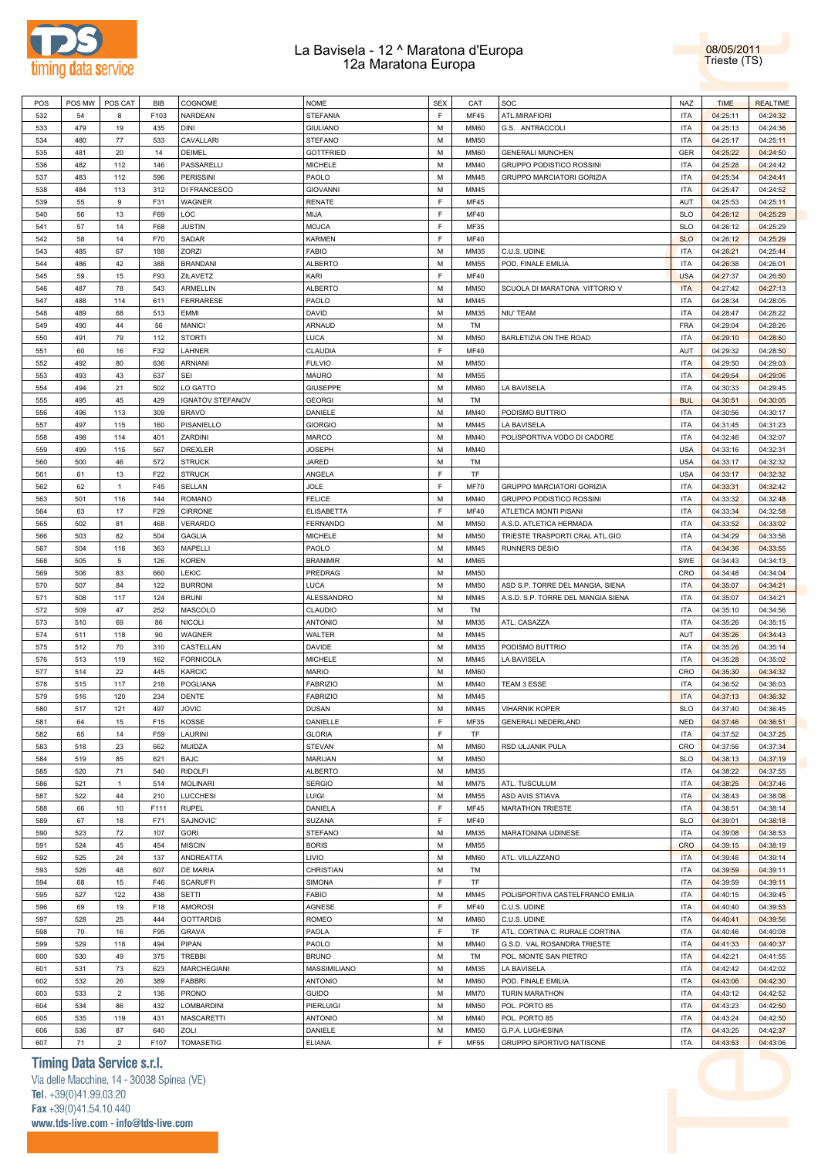

08/05/2011 Trieste (TS)

| POS | POS MW | POS CAT        | BIB  | COGNOME                 | <b>NOME</b>         | <b>SEX</b>  | CAT         | SOC                                | NAZ        | <b>TIME</b> | <b>REALTIME</b> |  |
|-----|--------|----------------|------|-------------------------|---------------------|-------------|-------------|------------------------------------|------------|-------------|-----------------|--|
| 532 | 54     | 8              | F103 | <b>NARDEAN</b>          | <b>STEFANIA</b>     | F           | <b>MF45</b> | ATL.MIRAFIORI                      | <b>ITA</b> | 04:25:11    | 04:24:32        |  |
| 533 | 479    | 19             | 435  | <b>DINI</b>             | <b>GIULIANO</b>     | M           | <b>MM60</b> | G.S. ANTRACCOLI                    | <b>ITA</b> | 04:25:13    | 04:24:36        |  |
|     |        |                |      | CAVALLARI               |                     |             |             |                                    | <b>ITA</b> |             |                 |  |
| 534 | 480    | 77             | 533  |                         | <b>STEFANO</b>      | M           | <b>MM50</b> |                                    |            | 04:25:17    | 04:25:11        |  |
| 535 | 481    | 20             | 14   | DEIMEL                  | <b>GOTTFRIED</b>    | M           | <b>MM60</b> | <b>GENERALI MUNCHEN</b>            | GER        | 04:25:22    | 04:24:50        |  |
| 536 | 482    | 112            | 146  | PASSARELLI              | <b>MICHELE</b>      | M           | MM40        | GRUPPO PODISTICO ROSSINI           | <b>ITA</b> | 04:25:28    | 04:24:42        |  |
| 537 | 483    | 112            | 596  | <b>PERISSINI</b>        | PAOLO               | M           | MM45        | <b>GRUPPO MARCIATORI GORIZIA</b>   | <b>ITA</b> | 04:25:34    | 04:24:41        |  |
| 538 | 484    | 113            | 312  | DI FRANCESCO            | <b>GIOVANNI</b>     | M           | MM45        |                                    | <b>ITA</b> | 04:25:47    | 04:24:52        |  |
| 539 | 55     | 9              | F31  | WAGNER                  | <b>RENATE</b>       | F           | <b>MF45</b> |                                    | AUT        | 04:25:53    | 04:25:11        |  |
|     | 56     |                | F69  | LOC                     | MIJA                | F           | <b>MF40</b> |                                    | <b>SLO</b> |             |                 |  |
| 540 |        | 13             |      |                         |                     |             |             |                                    |            | 04:26:12    | 04:25:29        |  |
| 541 | 57     | 14             | F68  | <b>JUSTIN</b>           | <b>MOJCA</b>        | F           | MF35        |                                    | <b>SLO</b> | 04:26:12    | 04:25:29        |  |
| 542 | 58     | 14             | F70  | SADAR                   | <b>KARMEN</b>       | $\mathsf F$ | <b>MF40</b> |                                    | <b>SLO</b> | 04:26:12    | 04:25:29        |  |
| 543 | 485    | 67             | 188  | ZORZI                   | <b>FABIO</b>        | M           | MM35        | C.U.S. UDINE                       | <b>ITA</b> | 04:26:21    | 04:25:44        |  |
| 544 | 486    | 42             | 388  | <b>BRANDANI</b>         | <b>ALBERTO</b>      | M           | <b>MM55</b> | POD. FINALE EMILIA                 | <b>ITA</b> | 04:26:38    | 04:26:01        |  |
| 545 | 59     | 15             | F93  | ZILAVETZ                | KARI                | $\mathsf F$ | <b>MF40</b> |                                    | <b>USA</b> | 04:27:37    | 04:26:50        |  |
|     | 487    | 78             |      | ARMELLIN                |                     | M           | <b>MM50</b> | SCUOLA DI MARATONA VITTORIO V      | <b>ITA</b> |             | 04:27:13        |  |
| 546 |        |                | 543  |                         | <b>ALBERTO</b>      |             |             |                                    |            | 04:27:42    |                 |  |
| 547 | 488    | 114            | 611  | FERRARESE               | PAOLO               | M           | MM45        |                                    | <b>ITA</b> | 04:28:34    | 04:28:05        |  |
| 548 | 489    | 68             | 513  | EMMI                    | DAVID               | M           | MM35        | <b>NIU' TEAM</b>                   | <b>ITA</b> | 04:28:47    | 04:28:22        |  |
| 549 | 490    | 44             | 56   | <b>MANICI</b>           | ARNAUD              | M           | TM          |                                    | FRA        | 04:29:04    | 04:28:26        |  |
| 550 | 491    | 79             | 112  | <b>STORTI</b>           | LUCA                | M           | <b>MM50</b> | BARLETIZIA ON THE ROAD             | <b>ITA</b> | 04:29:10    | 04:28:50        |  |
| 551 | 60     | 16             | F32  | LAHNER                  | CLAUDIA             | $\mathsf F$ | <b>MF40</b> |                                    | <b>AUT</b> | 04:29:32    | 04:28:50        |  |
| 552 | 492    | 80             | 636  | <b>ARNIANI</b>          | <b>FULVIO</b>       | M           | <b>MM50</b> |                                    | <b>ITA</b> | 04:29:50    | 04:29:03        |  |
|     |        |                |      |                         |                     |             |             |                                    |            |             |                 |  |
| 553 | 493    | 43             | 637  | <b>SEI</b>              | MAURO               | M           | <b>MM55</b> |                                    | <b>ITA</b> | 04:29:54    | 04:29:06        |  |
| 554 | 494    | 21             | 502  | LO GATTO                | <b>GIUSEPPE</b>     | M           | <b>MM60</b> | LA BAVISELA                        | <b>ITA</b> | 04:30:33    | 04:29:45        |  |
| 555 | 495    | 45             | 429  | <b>IGNATOV STEFANOV</b> | <b>GEORGI</b>       | M           | TM          |                                    | <b>BUL</b> | 04:30:51    | 04:30:05        |  |
| 556 | 496    | 113            | 309  | <b>BRAVO</b>            | DANIELE             | M           | MM40        | PODISMO BUTTRIO                    | <b>ITA</b> | 04:30:56    | 04:30:17        |  |
| 557 | 497    | 115            | 160  | PISANIELLO              | <b>GIORGIO</b>      | M           | MM45        | LA BAVISELA                        | <b>ITA</b> | 04:31:45    | 04:31:23        |  |
| 558 | 498    | 114            | 401  | ZARDINI                 | <b>MARCO</b>        | M           | MM40        | POLISPORTIVA VODO DI CADORE        | <b>ITA</b> | 04:32:46    | 04:32:07        |  |
|     |        |                |      |                         |                     |             |             |                                    |            |             |                 |  |
| 559 | 499    | 115            | 567  | DREXLER                 | JOSEPH              | M           | MM40        |                                    | <b>USA</b> | 04:33:16    | 04:32:31        |  |
| 560 | 500    | 46             | 572  | <b>STRUCK</b>           | JARED               | M           | TM          |                                    | <b>USA</b> | 04:33:17    | 04:32:32        |  |
| 561 | 61     | 13             | F22  | <b>STRUCK</b>           | ANGELA              | F           | TF          |                                    | <b>USA</b> | 04:33:17    | 04:32:32        |  |
| 562 | 62     | $\overline{1}$ | F45  | SELLAN                  | <b>JOLE</b>         | $\mathsf F$ | <b>MF70</b> | <b>GRUPPO MARCIATORI GORIZIA</b>   | <b>ITA</b> | 04:33:31    | 04:32:42        |  |
| 563 | 501    | 116            | 144  | <b>ROMANO</b>           | <b>FELICE</b>       | M           | MM40        | GRUPPO PODISTICO ROSSINI           | <b>ITA</b> | 04:33:32    | 04:32:48        |  |
| 564 | 63     | 17             | F29  | CIRRONE                 | <b>ELISABETTA</b>   | $\mathsf F$ | <b>MF40</b> | ATLETICA MONTI PISANI              | <b>ITA</b> | 04:33:34    | 04:32:58        |  |
|     |        |                |      |                         |                     |             |             |                                    |            |             |                 |  |
| 565 | 502    | 81             | 468  | VERARDO                 | <b>FERNANDO</b>     | M           | <b>MM50</b> | A.S.D. ATLETICA HERMADA            | <b>ITA</b> | 04:33:52    | 04:33:02        |  |
| 566 | 503    | 82             | 504  | <b>GAGLIA</b>           | <b>MICHELE</b>      | M           | <b>MM50</b> | TRIESTE TRASPORTI CRAL ATL.GIO     | <b>ITA</b> | 04:34:29    | 04:33:56        |  |
| 567 | 504    | 116            | 363  | MAPELLI                 | PAOLO               | M           | MM45        | <b>RUNNERS DESIO</b>               | <b>ITA</b> | 04:34:36    | 04:33:55        |  |
| 568 | 505    | 5              | 126  | <b>KOREN</b>            | <b>BRANIMIR</b>     | M           | MM65        |                                    | SWE        | 04:34:43    | 04:34:13        |  |
| 569 | 506    | 83             | 660  | LEKIC                   | PREDRAG             | M           | <b>MM50</b> |                                    | CRO        | 04:34:48    | 04:34:04        |  |
| 570 | 507    | 84             | 122  | <b>BURRONI</b>          | <b>LUCA</b>         | M           | <b>MM50</b> | ASD S.P. TORRE DEL MANGIA, SIENA   | <b>ITA</b> | 04:35:07    | 04:34:21        |  |
|     |        |                |      |                         |                     |             |             |                                    |            |             |                 |  |
| 571 | 508    | 117            | 124  | <b>BRUNI</b>            | ALESSANDRO          | M           | MM45        | A.S.D. S.P. TORRE DEL MANGIA SIENA | <b>ITA</b> | 04:35:07    | 04:34:21        |  |
| 572 | 509    | 47             | 252  | MASCOLO                 | CLAUDIO             | M           | TM          |                                    | <b>ITA</b> | 04:35:10    | 04:34:56        |  |
| 573 | 510    | 69             | 86   | <b>NICOLI</b>           | <b>ANTONIO</b>      | M           | MM35        | ATL. CASAZZA                       | <b>ITA</b> | 04:35:26    | 04:35:15        |  |
| 574 | 511    | 118            | 90   | WAGNER                  | WALTER              | M           | MM45        |                                    | AUT        | 04:35:26    | 04:34:43        |  |
| 575 | 512    | 70             | 310  | CASTELLAN               | DAVIDE              | M           | MM35        | PODISMO BUTTRIO                    | <b>ITA</b> | 04:35:26    | 04:35:14        |  |
| 576 | 513    | 119            | 162  | <b>FORNICOLA</b>        | <b>MICHELE</b>      | M           | MM45        | LA BAVISELA                        | <b>ITA</b> | 04:35:28    | 04:35:02        |  |
|     |        |                |      |                         |                     |             |             |                                    |            |             |                 |  |
| 577 | 514    | 22             | 445  | KARCIC                  | <b>MARIO</b>        | M           | <b>MM60</b> |                                    | CRO        | 04:35:30    | 04:34:32        |  |
| 578 | 515    | 117            | 218  | POGLIANA                | <b>FABRIZIO</b>     | M           | MM40        | TEAM 3 ESSE                        | <b>ITA</b> | 04:36:52    | 04:36:03        |  |
| 579 | 516    | 120            | 234  | DENTE                   | <b>FABRIZIO</b>     | M           | MM45        |                                    | <b>ITA</b> | 04:37:13    | 04:36:32        |  |
| 580 | 517    | 121            | 497  | <b>JOVIC</b>            | <b>DUSAN</b>        | M           | MM45        | <b>VIHARNIK KOPER</b>              | <b>SLO</b> | 04:37:40    | 04:36:45        |  |
| 581 | 64     | 15             | F15  | KOSSE                   | DANIELLE            | F           | MF35        | <b>GENERALI NEDERLAND</b>          | <b>NED</b> | 04:37:46    | 04:36:51        |  |
| 582 | 65     | 14             | F59  | LAURINI                 | <b>GLORIA</b>       | F           | TF          |                                    | <b>ITA</b> | 04:37:52    | 04:37:25        |  |
| 583 | 518    | 23             | 662  | MUIDZA                  | <b>STEVAN</b>       | M           | <b>MM60</b> | RSD ULJANIK PULA                   | CRO        | 04:37:56    | 04:37:34        |  |
|     |        |                |      |                         |                     |             |             |                                    |            |             |                 |  |
| 584 | 519    | 85             | 621  | <b>BAJC</b>             | MARIJAN             | M           | <b>MM50</b> |                                    | <b>SLO</b> | 04:38:13    | 04:37:19        |  |
| 585 | 520    | 71             | 540  | <b>RIDOLFI</b>          | <b>ALBERTO</b>      | M           | MM35        |                                    | <b>ITA</b> | 04:38:22    | 04:37:55        |  |
| 586 | 521    | $\overline{1}$ | 514  | <b>MOLINARI</b>         | <b>SERGIO</b>       | M           | <b>MM75</b> | ATL. TUSCULUM                      | <b>ITA</b> | 04:38:25    | 04:37:46        |  |
| 587 | 522    | 44             | 210  | LUCCHESI                | LUIGI               | M           | <b>MM55</b> | ASD AVIS STIAVA                    | <b>ITA</b> | 04:38:43    | 04:38:08        |  |
| 588 | 66     | 10             | F111 | <b>RUPEL</b>            | DANIELA             | $\mathsf F$ | <b>MF45</b> | MARATHON TRIESTE                   | <b>ITA</b> | 04:38:51    | 04:38:14        |  |
| 589 | 67     | 18             | F71  | SAJNOVIC'               | SUZANA              | F           | <b>MF40</b> |                                    | <b>SLO</b> | 04:39:01    | 04:38:18        |  |
|     |        |                |      |                         |                     |             |             |                                    |            |             |                 |  |
| 590 | 523    | 72             | 107  | <b>GORI</b>             | <b>STEFANO</b>      | M           | MM35        | MARATONINA UDINESE                 | <b>ITA</b> | 04:39:08    | 04:38:53        |  |
| 591 | 524    | 45             | 454  | <b>MISCIN</b>           | <b>BORIS</b>        | M           | <b>MM55</b> |                                    | CRO        | 04:39:15    | 04:38:19        |  |
| 592 | 525    | 24             | 137  | ANDREATTA               | LIVIO               | M           | <b>MM60</b> | ATL. VILLAZZANO                    | <b>ITA</b> | 04:39:46    | 04:39:14        |  |
| 593 |        |                |      |                         |                     |             |             |                                    |            |             |                 |  |
| 594 | 526    | 48             | 607  | DE MARIA                | CHRISTIAN           | M           | TM          |                                    | <b>ITA</b> | 04:39:59    | 04:39:11        |  |
|     | 68     | 15             | F46  | <b>SCARUFFI</b>         | SIMONA              | $\mathsf F$ | TF          |                                    | <b>ITA</b> | 04:39:59    | 04:39:11        |  |
|     |        |                |      |                         |                     |             |             |                                    |            |             |                 |  |
| 595 | 527    | 122            | 438  | <b>SETTI</b>            | <b>FABIO</b>        | M           | MM45        | POLISPORTIVA CASTELFRANCO EMILIA   | <b>ITA</b> | 04:40:15    | 04:39:45        |  |
| 596 | 69     | 19             | F18  | AMOROSI                 | AGNESE              | $\mathsf F$ | <b>MF40</b> | C.U.S. UDINE                       | <b>ITA</b> | 04:40:40    | 04:39:53        |  |
| 597 | 528    | 25             | 444  | <b>GOTTARDIS</b>        | ROMEO               | M           | <b>MM60</b> | C.U.S. UDINE                       | <b>ITA</b> | 04:40:41    | 04:39:56        |  |
| 598 | 70     | 16             | F95  | GRAVA                   | PAOLA               | $\mathsf F$ | TF          | ATL. CORTINA C. RURALE CORTINA     | <b>ITA</b> | 04:40:46    | 04:40:08        |  |
| 599 | 529    | 118            | 494  | PIPAN                   | PAOLO               | M           | MM40        | G.S.D. VAL ROSANDRA TRIESTE        | <b>ITA</b> | 04:41:33    | 04:40:37        |  |
| 600 | 530    | 49             | 375  | <b>TREBBI</b>           | <b>BRUNO</b>        | M           | TM          | POL. MONTE SAN PIETRO              | <b>ITA</b> | 04:42:21    | 04:41:55        |  |
| 601 |        |                | 623  |                         | <b>MASSIMILIANO</b> | M           | MM35        |                                    | <b>ITA</b> |             |                 |  |
|     | 531    | 73             |      | <b>MARCHEGIANI</b>      |                     |             |             | LA BAVISELA                        |            | 04:42:42    | 04:42:02        |  |
| 602 | 532    | 26             | 389  | <b>FABBRI</b>           | <b>ANTONIO</b>      | M           | <b>MM60</b> | POD. FINALE EMILIA                 | <b>ITA</b> | 04:43:06    | 04:42:30        |  |
| 603 | 533    | $\overline{2}$ | 136  | <b>PRONO</b>            | GUIDO               | M           | <b>MM70</b> | <b>TURIN MARATHON</b>              | <b>ITA</b> | 04:43:12    | 04:42:52        |  |
| 604 | 534    | 86             | 432  | LOMBARDINI              | PIERLUIGI           | M           | <b>MM50</b> | POL. PORTO 85                      | <b>ITA</b> | 04:43:23    | 04:42:50        |  |
| 605 | 535    | 119            | 431  | <b>MASCARETTI</b>       | <b>ANTONIO</b>      | M           | MM40        | POL. PORTO 85                      | <b>ITA</b> | 04:43:24    | 04:42:50        |  |
| 606 | 536    | 87             | 640  | ZOLI                    | DANIELE             | M           | <b>MM50</b> | G.P.A. LUGHESINA                   | <b>ITA</b> | 04:43:25    | 04:42:37        |  |
| 607 | 71     | $\overline{2}$ | F107 | <b>TOMASETIG</b>        | <b>ELIANA</b>       | $\mathsf F$ | <b>MF55</b> | GRUPPO SPORTIVO NATISONE           | <b>ITA</b> | 04:43:53    | 04:43:06        |  |

## **Timing Data Service s.r.l.**